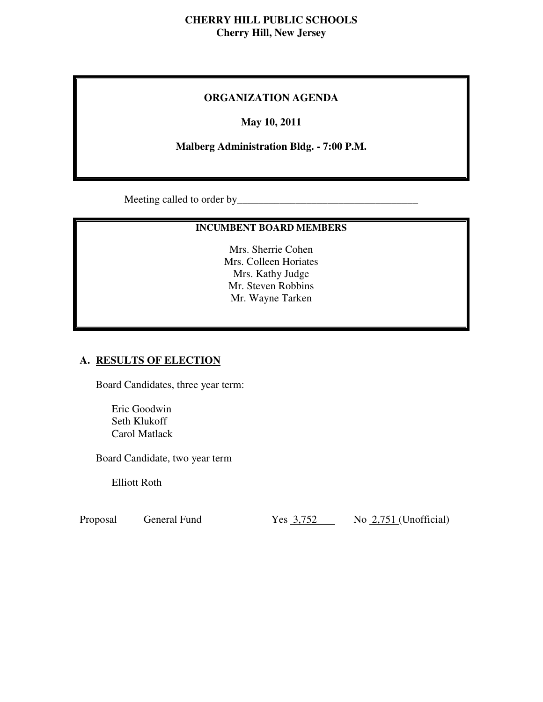### **CHERRY HILL PUBLIC SCHOOLS Cherry Hill, New Jersey**

### **ORGANIZATION AGENDA**

### **May 10, 2011**

### **Malberg Administration Bldg. - 7:00 P.M.**

Meeting called to order by\_\_\_\_\_\_\_\_\_\_\_\_\_\_\_\_\_\_\_\_\_\_\_\_\_\_\_\_\_\_\_\_\_\_

### **INCUMBENT BOARD MEMBERS**

 Mrs. Sherrie Cohen Mrs. Colleen Horiates Mrs. Kathy Judge Mr. Steven Robbins Mr. Wayne Tarken

### **A. RESULTS OF ELECTION**

Board Candidates, three year term:

 Eric Goodwin Seth Klukoff Carol Matlack

Board Candidate, two year term

Elliott Roth

General Fund Proposal General Fund Yes 3,752 No 2,751 (Unofficial)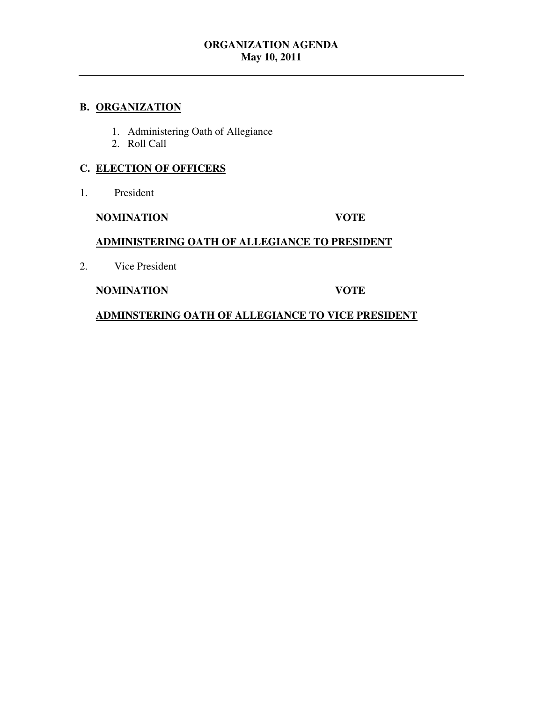### **B. ORGANIZATION**

- 1. Administering Oath of Allegiance
- 2. Roll Call

### **C. ELECTION OF OFFICERS**

 $1.$ President

### **NOMINATION VOTE**

### **ADMINISTERING OATH OF ALLEGIANCE TO PRESIDENT**

2. Vice President

### **NOMINATION VOTE**

 **ADMINSTERING OATH OF ALLEGIANCE TO VICE PRESIDENT**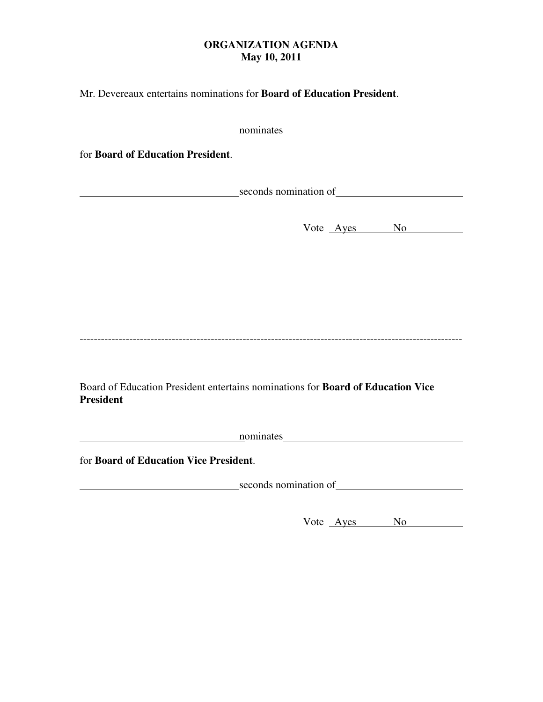Mr. Devereaux entertains nominations for **Board of Education President**.

| nominates 1000 months and the contract of the contract of the contract of the contract of the contract of the contract of the contract of the contract of the contract of the contract of the contract of the contract of the  |
|--------------------------------------------------------------------------------------------------------------------------------------------------------------------------------------------------------------------------------|
| for Board of Education President.                                                                                                                                                                                              |
| seconds nomination of resolution of the seconds in the second seconds in the second second second second second second second second second second second second second second second second second second second second secon |
| Vote Ayes No                                                                                                                                                                                                                   |
|                                                                                                                                                                                                                                |
|                                                                                                                                                                                                                                |
|                                                                                                                                                                                                                                |
| Board of Education President entertains nominations for <b>Board of Education Vice</b><br><b>President</b>                                                                                                                     |
| <u>nominates</u> <u>nominates</u>                                                                                                                                                                                              |
| for Board of Education Vice President.                                                                                                                                                                                         |
| seconds nomination of                                                                                                                                                                                                          |
| Vote Ayes No                                                                                                                                                                                                                   |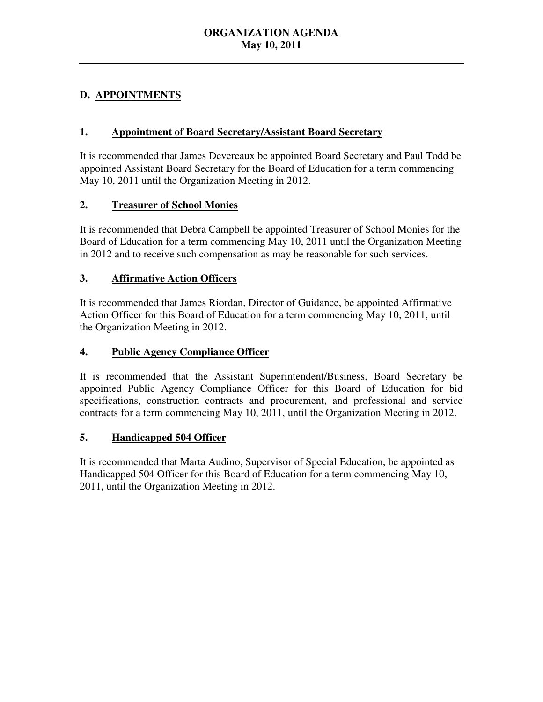# **D. APPOINTMENTS**

### **1. Appointment of Board Secretary/Assistant Board Secretary**

 It is recommended that James Devereaux be appointed Board Secretary and Paul Todd be appointed Assistant Board Secretary for the Board of Education for a term commencing May 10, 2011 until the Organization Meeting in 2012.

# **2. Treasurer of School Monies**

 It is recommended that Debra Campbell be appointed Treasurer of School Monies for the Board of Education for a term commencing May 10, 2011 until the Organization Meeting in 2012 and to receive such compensation as may be reasonable for such services.

# **3. Affirmative Action Officers**

 It is recommended that James Riordan, Director of Guidance, be appointed Affirmative Action Officer for this Board of Education for a term commencing May 10, 2011, until the Organization Meeting in 2012.

### **4. Public Agency Compliance Officer**

 It is recommended that the Assistant Superintendent/Business, Board Secretary be appointed Public Agency Compliance Officer for this Board of Education for bid specifications, construction contracts and procurement, and professional and service contracts for a term commencing May 10, 2011, until the Organization Meeting in 2012.

# **5. Handicapped 504 Officer**

 It is recommended that Marta Audino, Supervisor of Special Education, be appointed as Handicapped 504 Officer for this Board of Education for a term commencing May 10, 2011, until the Organization Meeting in 2012.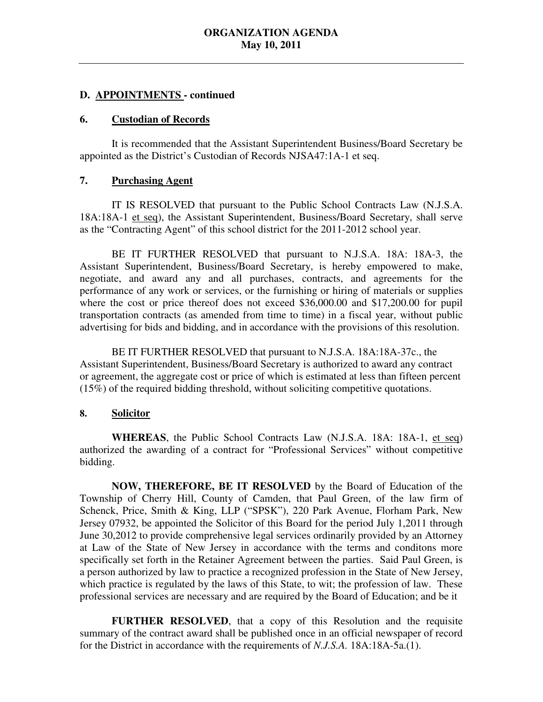### **D. APPOINTMENTS - continued**

#### **6. Custodian of Records**

 It is recommended that the Assistant Superintendent Business/Board Secretary be appointed as the District's Custodian of Records NJSA47:1A-1 et seq.

### **7. Purchasing Agent**

18A:18A-1 et seq), the Assistant Superintendent, Business/Board Secretary, shall serve as the "Contracting Agent" of this school district for the 2011-2012 school year. IT IS RESOLVED that pursuant to the Public School Contracts Law (N.J.S.A.

 Assistant Superintendent, Business/Board Secretary, is hereby empowered to make, negotiate, and award any and all purchases, contracts, and agreements for the performance of any work or services, or the furnishing or hiring of materials or supplies where the cost or price thereof does not exceed \$36,000.00 and \$17,200.00 for pupil transportation contracts (as amended from time to time) in a fiscal year, without public advertising for bids and bidding, and in accordance with the provisions of this resolution. BE IT FURTHER RESOLVED that pursuant to N.J.S.A. 18A: 18A-3, the

 BE IT FURTHER RESOLVED that pursuant to N.J.S.A. 18A:18A-37c., the Assistant Superintendent, Business/Board Secretary is authorized to award any contract or agreement, the aggregate cost or price of which is estimated at less than fifteen percent (15%) of the required bidding threshold, without soliciting competitive quotations.

### **8. Solicitor**

 **WHEREAS**, the Public School Contracts Law (N.J.S.A. 18A: 18A-1, et seq) authorized the awarding of a contract for "Professional Services" without competitive bidding.

 **NOW, THEREFORE, BE IT RESOLVED** by the Board of Education of the Township of Cherry Hill, County of Camden, that Paul Green, of the law firm of Schenck, Price, Smith & King, LLP ("SPSK"), 220 Park Avenue, Florham Park, New Jersey 07932, be appointed the Solicitor of this Board for the period July 1,2011 through June 30,2012 to provide comprehensive legal services ordinarily provided by an Attorney at Law of the State of New Jersey in accordance with the terms and conditons more specifically set forth in the Retainer Agreement between the parties. Said Paul Green, is a person authorized by law to practice a recognized profession in the State of New Jersey, which practice is regulated by the laws of this State, to wit; the profession of law. These professional services are necessary and are required by the Board of Education; and be it

 **FURTHER RESOLVED**, that a copy of this Resolution and the requisite summary of the contract award shall be published once in an official newspaper of record for the District in accordance with the requirements of *N.J.S.A.* 18A:18A-5a.(1).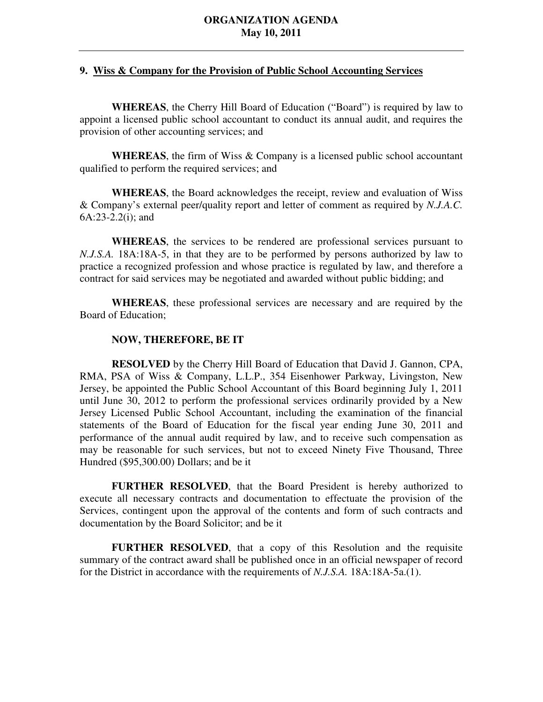### **9. Wiss & Company for the Provision of Public School Accounting Services**

 **WHEREAS**, the Cherry Hill Board of Education ("Board") is required by law to appoint a licensed public school accountant to conduct its annual audit, and requires the provision of other accounting services; and

 **WHEREAS**, the firm of Wiss & Company is a licensed public school accountant qualified to perform the required services; and

 **WHEREAS**, the Board acknowledges the receipt, review and evaluation of Wiss & Company's external peer/quality report and letter of comment as required by *N.J.A.C.* 6A:23-2.2(i); and

 **WHEREAS**, the services to be rendered are professional services pursuant to *N.J.S.A.* 18A:18A-5, in that they are to be performed by persons authorized by law to practice a recognized profession and whose practice is regulated by law, and therefore a contract for said services may be negotiated and awarded without public bidding; and

 **WHEREAS**, these professional services are necessary and are required by the Board of Education;

### **NOW, THEREFORE, BE IT**

 **RESOLVED** by the Cherry Hill Board of Education that David J. Gannon, CPA, RMA, PSA of Wiss & Company, L.L.P., 354 Eisenhower Parkway, Livingston, New Jersey, be appointed the Public School Accountant of this Board beginning July 1, 2011 until June 30, 2012 to perform the professional services ordinarily provided by a New Jersey Licensed Public School Accountant, including the examination of the financial statements of the Board of Education for the fiscal year ending June 30, 2011 and performance of the annual audit required by law, and to receive such compensation as may be reasonable for such services, but not to exceed Ninety Five Thousand, Three Hundred (\$95,300.00) Dollars; and be it

 **FURTHER RESOLVED**, that the Board President is hereby authorized to execute all necessary contracts and documentation to effectuate the provision of the Services, contingent upon the approval of the contents and form of such contracts and documentation by the Board Solicitor; and be it

 **FURTHER RESOLVED**, that a copy of this Resolution and the requisite summary of the contract award shall be published once in an official newspaper of record for the District in accordance with the requirements of *N.J.S.A.* 18A:18A-5a.(1).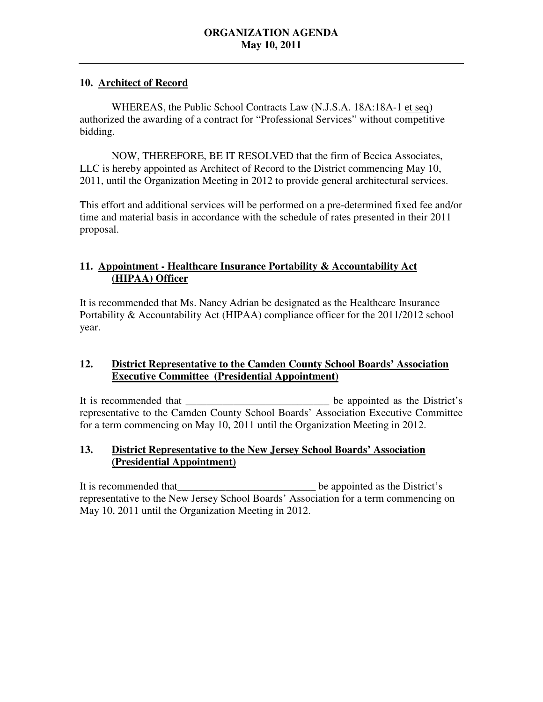### **10. Architect of Record**

WHEREAS, the Public School Contracts Law (N.J.S.A. 18A:18A-1 et seq) authorized the awarding of a contract for "Professional Services" without competitive bidding.

 NOW, THEREFORE, BE IT RESOLVED that the firm of Becica Associates, LLC is hereby appointed as Architect of Record to the District commencing May 10, 2011, until the Organization Meeting in 2012 to provide general architectural services.

 This effort and additional services will be performed on a pre-determined fixed fee and/or time and material basis in accordance with the schedule of rates presented in their 2011 proposal.

# 11. **Appointment - Healthcare Insurance Portability & Accountability Act (HIPAA) Officer**

 It is recommended that Ms. Nancy Adrian be designated as the Healthcare Insurance Portability & Accountability Act (HIPAA) compliance officer for the 2011/2012 school year.

### **12. Executive Committee (Presidential Appointment) District Representative to the Camden County School Boards' Association**

It is recommended that representative to the Camden County School Boards' Association Executive Committee for a term commencing on May 10, 2011 until the Organization Meeting in 2012. be appointed as the District's

### $13.$ **District Representative to the New Jersey School Boards' Association (Presidential Appointment)**

It is recommended that representative to the New Jersey School Boards' Association for a term commencing on May 10, 2011 until the Organization Meeting in 2012. be appointed as the District's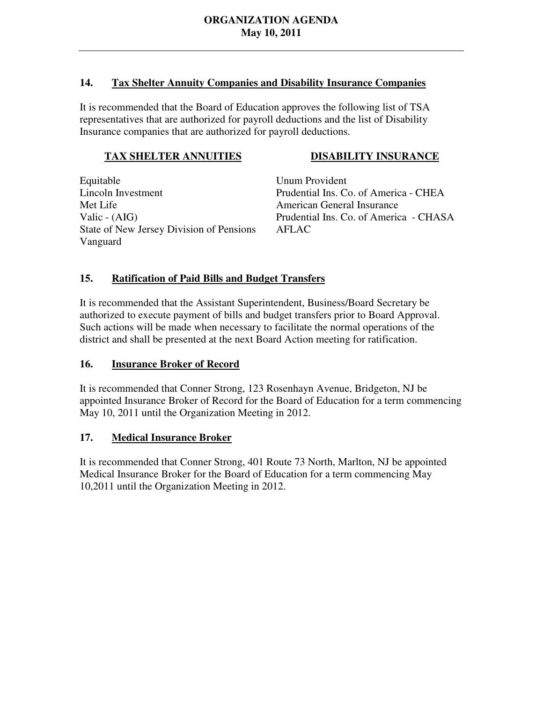### $14.$ **14. Tax Shelter Annuity Companies and Disability Insurance Companies**

 It is recommended that the Board of Education approves the following list of TSA representatives that are authorized for payroll deductions and the list of Disability Insurance companies that are authorized for payroll deductions.

# **TAX SHELTER ANNUITIES DISABILITY INSURANCE**

Equitable **Lincoln Investment** Met Life Valic -  $(AIG)$ State of New Jersey Division of Pensions AFLAC Vanguard

**Unum Provident** Prudential Ins. Co. of America - CHEA American General Insurance Prudential Ins. Co. of America - CHASA

# **15. Ratification of Paid Bills and Budget Transfers**

 It is recommended that the Assistant Superintendent, Business/Board Secretary be authorized to execute payment of bills and budget transfers prior to Board Approval. Such actions will be made when necessary to facilitate the normal operations of the district and shall be presented at the next Board Action meeting for ratification.

# 16. **Insurance Broker of Record**

 It is recommended that Conner Strong, 123 Rosenhayn Avenue, Bridgeton, NJ be appointed Insurance Broker of Record for the Board of Education for a term commencing May 10, 2011 until the Organization Meeting in 2012.

# **17. Medical Insurance Broker**

 It is recommended that Conner Strong, 401 Route 73 North, Marlton, NJ be appointed Medical Insurance Broker for the Board of Education for a term commencing May 10,2011 until the Organization Meeting in 2012.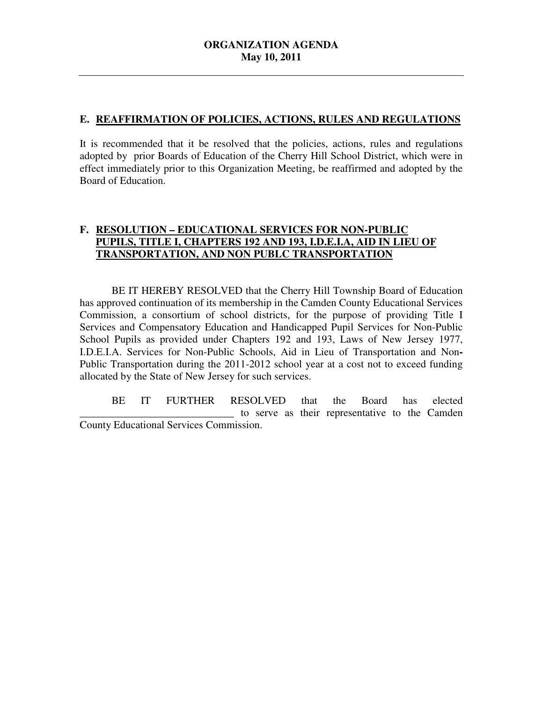### **E. REAFFIRMATION OF POLICIES, ACTIONS, RULES AND REGULATIONS**

 It is recommended that it be resolved that the policies, actions, rules and regulations adopted by prior Boards of Education of the Cherry Hill School District, which were in effect immediately prior to this Organization Meeting, be reaffirmed and adopted by the Board of Education.

### **F. RESOLUTION – EDUCATIONAL SERVICES FOR NON-PUBLIC PUPILS, TITLE I, CHAPTERS 192 AND 193, I.D.E.I.A, AID IN LIEU OF TRANSPORTATION, AND NON PUBLC TRANSPORTATION**

 has approved continuation of its membership in the Camden County Educational Services Commission, a consortium of school districts, for the purpose of providing Title I Services and Compensatory Education and Handicapped Pupil Services for Non-Public School Pupils as provided under Chapters 192 and 193, Laws of New Jersey 1977, I.D.E.I.A. Services for Non-Public Schools, Aid in Lieu of Transportation and Non**-** Public Transportation during the 2011-2012 school year at a cost not to exceed funding allocated by the State of New Jersey for such services. BE IT HEREBY RESOLVED that the Cherry Hill Township Board of Education

 \_\_\_\_\_\_\_\_\_\_\_\_\_\_\_\_\_\_\_\_\_\_\_\_\_\_\_\_\_ to serve as their representative to the Camden County Educational Services Commission. BE IT FURTHER RESOLVED that the Board has elected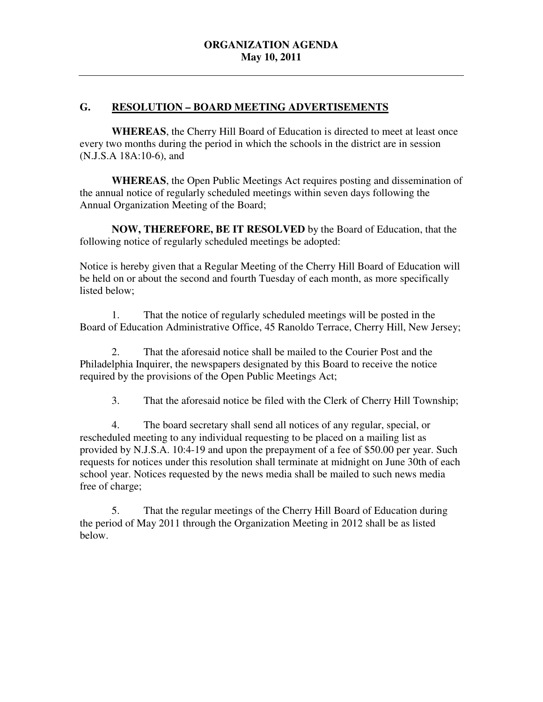### G. RESOLUTION - BOARD MEETING ADVERTISEMENTS

 **WHEREAS**, the Cherry Hill Board of Education is directed to meet at least once every two months during the period in which the schools in the district are in session (N.J.S.A 18A:10-6), and

 **WHEREAS**, the Open Public Meetings Act requires posting and dissemination of the annual notice of regularly scheduled meetings within seven days following the Annual Organization Meeting of the Board;

 **NOW, THEREFORE, BE IT RESOLVED** by the Board of Education, that the following notice of regularly scheduled meetings be adopted:

 Notice is hereby given that a Regular Meeting of the Cherry Hill Board of Education will be held on or about the second and fourth Tuesday of each month, as more specifically listed below;

 Board of Education Administrative Office, 45 Ranoldo Terrace, Cherry Hill, New Jersey; 1. That the notice of regularly scheduled meetings will be posted in the

 Philadelphia Inquirer, the newspapers designated by this Board to receive the notice required by the provisions of the Open Public Meetings Act; 2. That the aforesaid notice shall be mailed to the Courier Post and the

 $3.$ That the aforesaid notice be filed with the Clerk of Cherry Hill Township;

 4. The board secretary shall send all notices of any regular, special, or rescheduled meeting to any individual requesting to be placed on a mailing list as provided by N.J.S.A. 10:4-19 and upon the prepayment of a fee of \$50.00 per year. Such requests for notices under this resolution shall terminate at midnight on June 30th of each school year. Notices requested by the news media shall be mailed to such news media free of charge;

 5. That the regular meetings of the Cherry Hill Board of Education during the period of May 2011 through the Organization Meeting in 2012 shall be as listed below.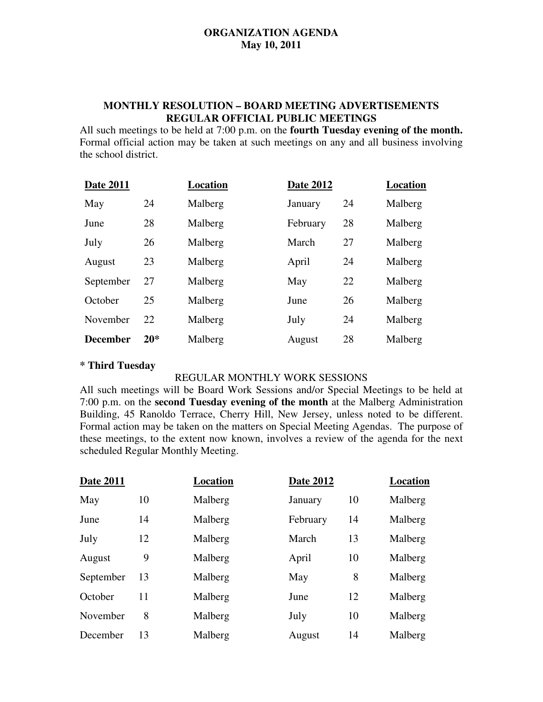### **MONTHLY RESOLUTION – BOARD MEETING ADVERTISEMENTS REGULAR OFFICIAL PUBLIC MEETINGS**

 All such meetings to be held at 7:00 p.m. on the **fourth Tuesday evening of the month.**  Formal official action may be taken at such meetings on any and all business involving the school district.

| Date 2011       |       | Location | <b>Date 2012</b> |    | Location |
|-----------------|-------|----------|------------------|----|----------|
| May             | 24    | Malberg  | January          | 24 | Malberg  |
| June            | 28    | Malberg  | February         | 28 | Malberg  |
| July            | 26    | Malberg  | March            | 27 | Malberg  |
| August          | 23    | Malberg  | April            | 24 | Malberg  |
| September       | 27    | Malberg  | May              | 22 | Malberg  |
| October         | 25    | Malberg  | June             | 26 | Malberg  |
| November        | 22    | Malberg  | July             | 24 | Malberg  |
| <b>December</b> | $20*$ | Malberg  | August           | 28 | Malberg  |

# **\* Third Tuesday**

### REGULAR MONTHLY WORK SESSIONS

 All such meetings will be Board Work Sessions and/or Special Meetings to be held at 7:00 p.m. on the **second Tuesday evening of the month** at the Malberg Administration Building, 45 Ranoldo Terrace, Cherry Hill, New Jersey, unless noted to be different. Formal action may be taken on the matters on Special Meeting Agendas. The purpose of these meetings, to the extent now known, involves a review of the agenda for the next scheduled Regular Monthly Meeting.

| <b>Date 2011</b> |    | Location | <b>Date 2012</b> |    | <b>Location</b> |
|------------------|----|----------|------------------|----|-----------------|
| May              | 10 | Malberg  | January          | 10 | Malberg         |
| June             | 14 | Malberg  | February         | 14 | Malberg         |
| July             | 12 | Malberg  | March            | 13 | Malberg         |
| August           | 9  | Malberg  | April            | 10 | Malberg         |
| September        | 13 | Malberg  | May              | 8  | Malberg         |
| October          | 11 | Malberg  | June             | 12 | Malberg         |
| November         | 8  | Malberg  | July             | 10 | Malberg         |
| December         | 13 | Malberg  | August           | 14 | Malberg         |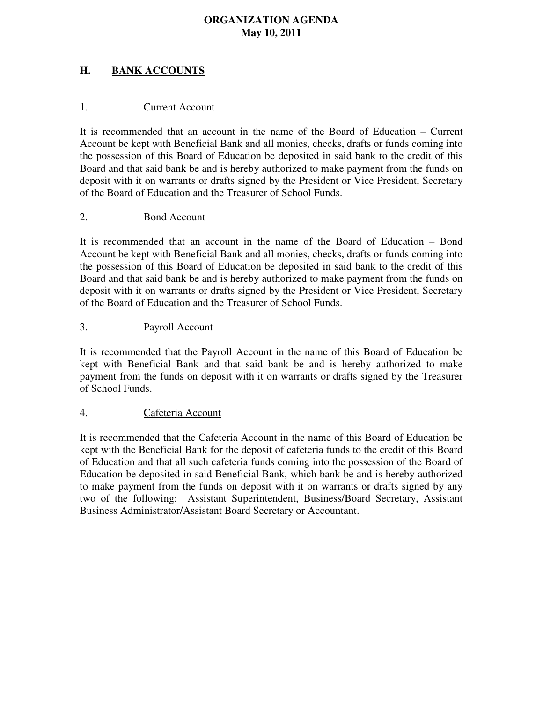### **H. BANK ACCOUNTS**

### 1. Current Account

 It is recommended that an account in the name of the Board of Education – Current Account be kept with Beneficial Bank and all monies, checks, drafts or funds coming into the possession of this Board of Education be deposited in said bank to the credit of this Board and that said bank be and is hereby authorized to make payment from the funds on deposit with it on warrants or drafts signed by the President or Vice President, Secretary of the Board of Education and the Treasurer of School Funds.

### 2. Bond Account

 It is recommended that an account in the name of the Board of Education – Bond Account be kept with Beneficial Bank and all monies, checks, drafts or funds coming into the possession of this Board of Education be deposited in said bank to the credit of this Board and that said bank be and is hereby authorized to make payment from the funds on deposit with it on warrants or drafts signed by the President or Vice President, Secretary of the Board of Education and the Treasurer of School Funds.

### 3. Payroll Account

 It is recommended that the Payroll Account in the name of this Board of Education be kept with Beneficial Bank and that said bank be and is hereby authorized to make payment from the funds on deposit with it on warrants or drafts signed by the Treasurer of School Funds.

### 4. Cafeteria Account

 It is recommended that the Cafeteria Account in the name of this Board of Education be kept with the Beneficial Bank for the deposit of cafeteria funds to the credit of this Board of Education and that all such cafeteria funds coming into the possession of the Board of Education be deposited in said Beneficial Bank, which bank be and is hereby authorized to make payment from the funds on deposit with it on warrants or drafts signed by any two of the following: Assistant Superintendent, Business/Board Secretary, Assistant Business Administrator/Assistant Board Secretary or Accountant.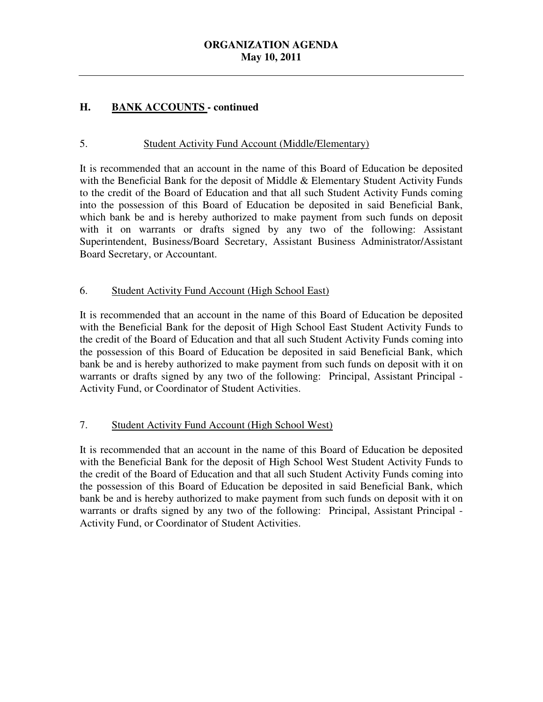#### **H. H. BANK ACCOUNTS - continued**

### 5. Student Activity Fund Account (Middle/Elementary)

 It is recommended that an account in the name of this Board of Education be deposited with the Beneficial Bank for the deposit of Middle & Elementary Student Activity Funds to the credit of the Board of Education and that all such Student Activity Funds coming into the possession of this Board of Education be deposited in said Beneficial Bank, which bank be and is hereby authorized to make payment from such funds on deposit with it on warrants or drafts signed by any two of the following: Assistant Superintendent, Business/Board Secretary, Assistant Business Administrator/Assistant Board Secretary, or Accountant.

### 6. Student Activity Fund Account (High School East)

 It is recommended that an account in the name of this Board of Education be deposited with the Beneficial Bank for the deposit of High School East Student Activity Funds to the credit of the Board of Education and that all such Student Activity Funds coming into the possession of this Board of Education be deposited in said Beneficial Bank, which bank be and is hereby authorized to make payment from such funds on deposit with it on warrants or drafts signed by any two of the following: Principal, Assistant Principal Activity Fund, or Coordinator of Student Activities.

### 7. Student Activity Fund Account (High School West)

 It is recommended that an account in the name of this Board of Education be deposited with the Beneficial Bank for the deposit of High School West Student Activity Funds to the credit of the Board of Education and that all such Student Activity Funds coming into the possession of this Board of Education be deposited in said Beneficial Bank, which bank be and is hereby authorized to make payment from such funds on deposit with it on warrants or drafts signed by any two of the following: Principal, Assistant Principal Activity Fund, or Coordinator of Student Activities.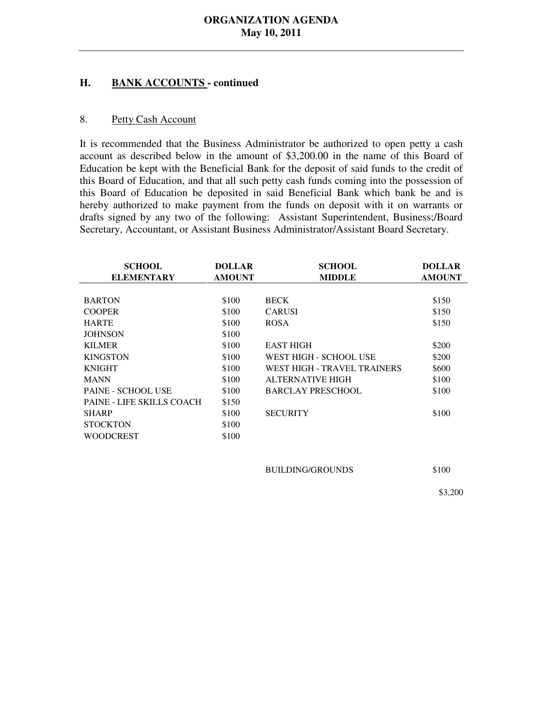#### **H. BANK ACCOUNTS - continued**

#### 8. Petty Cash Account

 It is recommended that the Business Administrator be authorized to open petty a cash account as described below in the amount of \$3,200.00 in the name of this Board of Education be kept with the Beneficial Bank for the deposit of said funds to the credit of this Board of Education, and that all such petty cash funds coming into the possession of this Board of Education be deposited in said Beneficial Bank which bank be and is hereby authorized to make payment from the funds on deposit with it on warrants or drafts signed by any two of the following: Assistant Superintendent, Business;/Board Secretary, Accountant, or Assistant Business Administrator/Assistant Board Secretary.

| <b>SCHOOL</b>             | <b>DOLLAR</b> | <b>SCHOOL</b>               | <b>DOLLAR</b> |
|---------------------------|---------------|-----------------------------|---------------|
| <b>ELEMENTARY</b>         | <b>AMOUNT</b> | <b>MIDDLE</b>               | <b>AMOUNT</b> |
|                           |               |                             |               |
| <b>BARTON</b>             | \$100         | <b>BECK</b>                 | \$150         |
| <b>COOPER</b>             | \$100         | <b>CARUSI</b>               | \$150         |
| <b>HARTE</b>              | \$100         | <b>ROSA</b>                 | \$150         |
| <b>JOHNSON</b>            | \$100         |                             |               |
| <b>KILMER</b>             | \$100         | <b>EAST HIGH</b>            | \$200         |
| <b>KINGSTON</b>           | \$100         | WEST HIGH - SCHOOL USE      | \$200         |
| <b>KNIGHT</b>             | \$100         | WEST HIGH - TRAVEL TRAINERS | \$600         |
| <b>MANN</b>               | \$100         | ALTERNATIVE HIGH            | \$100         |
| <b>PAINE - SCHOOL USE</b> | \$100         | <b>BARCLAY PRESCHOOL</b>    | \$100         |
| PAINE - LIFE SKILLS COACH | \$150         |                             |               |
| <b>SHARP</b>              | \$100         | <b>SECURITY</b>             | \$100         |
| <b>STOCKTON</b>           | \$100         |                             |               |
| <b>WOODCREST</b>          | \$100         |                             |               |
|                           |               |                             |               |
|                           |               |                             |               |
|                           |               | <b>BUILDING/GROUNDS</b>     | \$100         |

\$3,200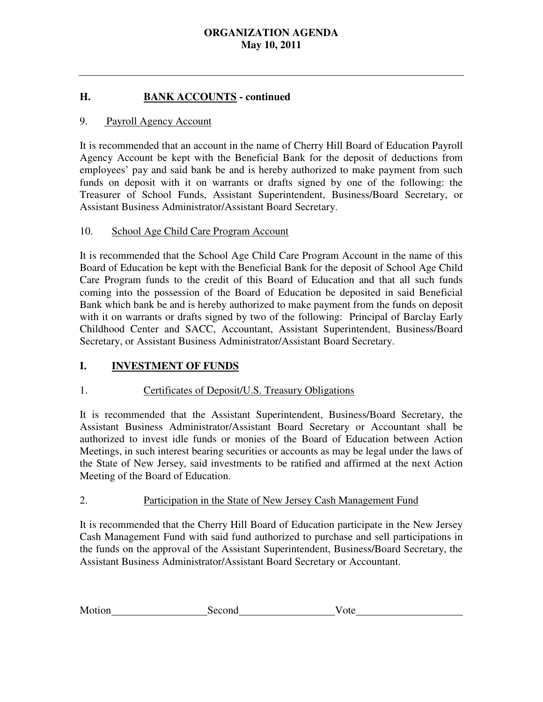#### **H. BANK ACCOUNTS - continued**

### 9. Payroll Agency Account

 It is recommended that an account in the name of Cherry Hill Board of Education Payroll Agency Account be kept with the Beneficial Bank for the deposit of deductions from employees' pay and said bank be and is hereby authorized to make payment from such funds on deposit with it on warrants or drafts signed by one of the following: the Treasurer of School Funds, Assistant Superintendent, Business/Board Secretary, or Assistant Business Administrator/Assistant Board Secretary.

#### 10. School Age Child Care Program Account

 It is recommended that the School Age Child Care Program Account in the name of this Board of Education be kept with the Beneficial Bank for the deposit of School Age Child Care Program funds to the credit of this Board of Education and that all such funds coming into the possession of the Board of Education be deposited in said Beneficial Bank which bank be and is hereby authorized to make payment from the funds on deposit with it on warrants or drafts signed by two of the following: Principal of Barclay Early Childhood Center and SACC, Accountant, Assistant Superintendent, Business/Board Secretary, or Assistant Business Administrator/Assistant Board Secretary.

### **I. INVESTMENT OF FUNDS**

### 1. Certificates of Deposit/U.S. Treasury Obligations

 It is recommended that the Assistant Superintendent, Business/Board Secretary, the Assistant Business Administrator/Assistant Board Secretary or Accountant shall be authorized to invest idle funds or monies of the Board of Education between Action Meetings, in such interest bearing securities or accounts as may be legal under the laws of the State of New Jersey, said investments to be ratified and affirmed at the next Action Meeting of the Board of Education.

### 2. Participation in the State of New Jersey Cash Management Fund

 It is recommended that the Cherry Hill Board of Education participate in the New Jersey Cash Management Fund with said fund authorized to purchase and sell participations in the funds on the approval of the Assistant Superintendent, Business/Board Secretary, the Assistant Business Administrator/Assistant Board Secretary or Accountant.

| Motion | Second | ote |
|--------|--------|-----|
|        |        |     |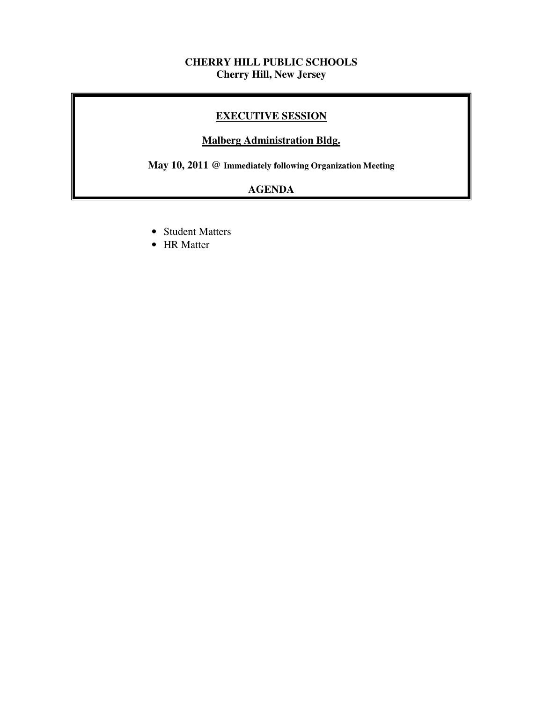### **CHERRY HILL PUBLIC SCHOOLS Cherry Hill, New Jersey**

### **EXECUTIVE SESSION**

### **Malberg Administration Bldg.**

 **May 10, 2011 @ Immediately following Organization Meeting** 

# **AGENDA**

- Student Matters
- HR Matter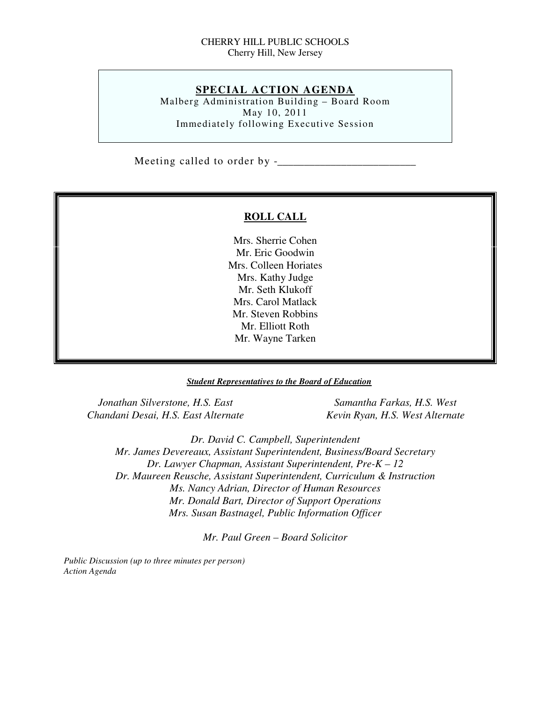### CHERRY HILL PUBLIC SCHOOLS Cherry Hill, New Jersey

### **SPECIAL ACTION AGENDA**

 Malberg Administration Building – Board Room May 10, 2011 Immediately following Executive Session

Meeting called to order by -\_\_\_\_\_\_\_\_\_\_\_\_\_\_\_\_\_\_\_\_\_\_\_\_\_\_

### **ROLL CALL**

 Mrs. Sherrie Cohen Mr. Eric Goodwin Mrs. Colleen Horiates Mrs. Kathy Judge Mr. Seth Klukoff Mrs. Carol Matlack Mr. Steven Robbins Mr. Elliott Roth Mr. Wayne Tarken

### *Student Representatives to the Board of Education*

*<u>Jonathan Silverstone, H.S. East Samantha Farkas, H.S. West* Samantha Farkas, H.S. West</u>  *Chandani Desai, H.S. East Alternate Kevin Ryan, H.S. West Alternate* 

 *Dr. David C. Campbell, Superintendent Mr. James Devereaux, Assistant Superintendent, Business/Board Secretary Dr. Lawyer Chapman, Assistant Superintendent, Pre-K – 12 Dr. Maureen Reusche, Assistant Superintendent, Curriculum & Instruction Ms. Nancy Adrian, Director of Human Resources Mr. Donald Bart, Director of Support Operations Mrs. Susan Bastnagel, Public Information Officer* 

 *Mr. Paul Green – Board Solicitor* 

 *Public Discussion (up to three minutes per person) Action Agenda*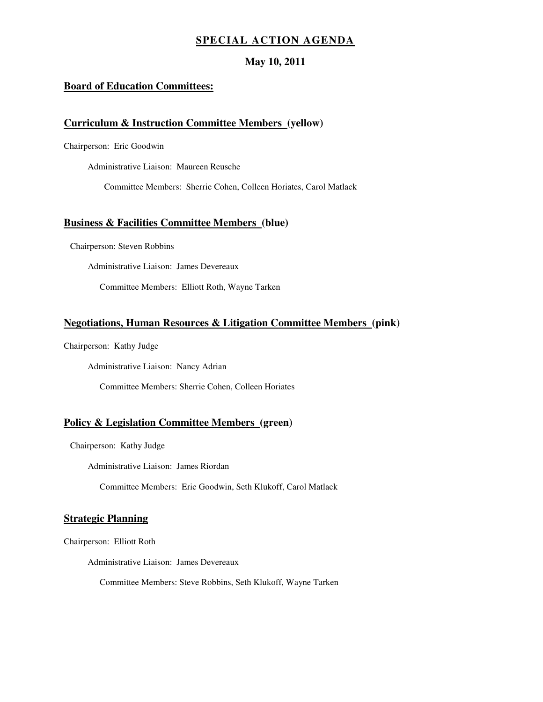### **SPECIAL ACTION AGENDA**

### **May 10, 2011**

### **Board of Education Committees:**

### **Curriculum & Instruction Committee Members (yellow)**

Chairperson: Eric Goodwin

Administrative Liaison: Maureen Reusche

Committee Members: Sherrie Cohen, Colleen Horiates, Carol Matlack

### **Business & Facilities Committee Members (blue)**

Chairperson: Steven Robbins

Administrative Liaison: James Devereaux

Committee Members: Elliott Roth, Wayne Tarken

### **Negotiations, Human Resources & Litigation Committee Members (pink)**

Chairperson: Kathy Judge

Administrative Liaison: Nancy Adrian

Committee Members: Sherrie Cohen, Colleen Horiates

### **Policy & Legislation Committee Members (green)**

Chairperson: Kathy Judge

Administrative Liaison: James Riordan

Committee Members: Eric Goodwin, Seth Klukoff, Carol Matlack

### **Strategic Planning**

Chairperson: Elliott Roth

Administrative Liaison: James Devereaux

Committee Members: Steve Robbins, Seth Klukoff, Wayne Tarken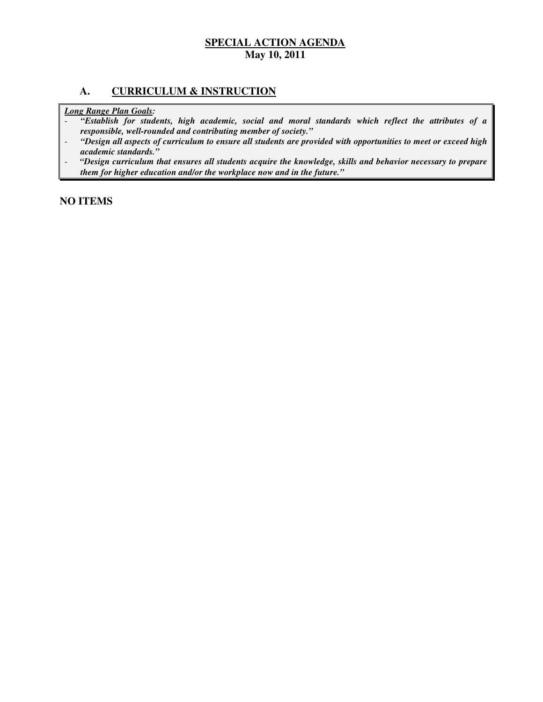### **A. CURRICULUM & INSTRUCTION**

 *Long Range Plan Goals:* 

- *"Establish for students, high academic, social and moral standards which reflect the attributes of a responsible, well-rounded and contributing member of society."*
- *"Design all aspects of curriculum to ensure all students are provided with opportunities to meet or exceed high academic standards."*
- *"Design curriculum that ensures all students acquire the knowledge, skills and behavior necessary to prepare them for higher education and/or the workplace now and in the future."*

 **NO ITEMS**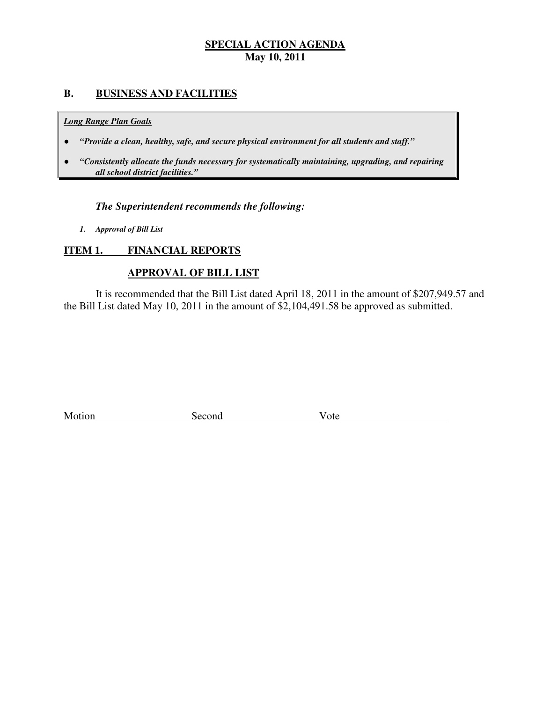### **B. BUSINESS AND FACILITIES**

### *Long Range Plan Goals*

- *"Provide a clean, healthy, safe, and secure physical environment for all students and staff."*
- *all school district facilities."*  ● *"Consistently allocate the funds necessary for systematically maintaining, upgrading, and repairing*

### *The Superintendent recommends the following:*

 *1. Approval of Bill List* 

#### **ITEM 1. FINANCIAL REPORTS**

### **APPROVAL OF BILL LIST**

 the Bill List dated May 10, 2011 in the amount of \$2,104,491.58 be approved as submitted. It is recommended that the Bill List dated April 18, 2011 in the amount of \$207,949.57 and

| Motion<br>Second<br>v ote |  |
|---------------------------|--|
|---------------------------|--|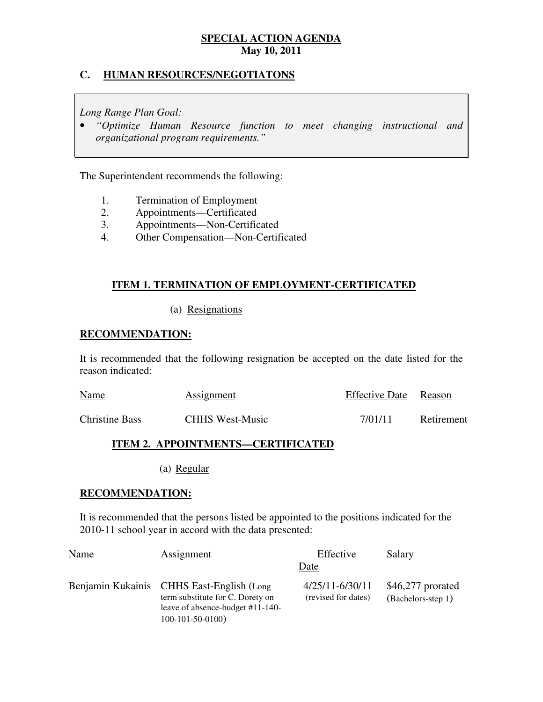### **C. HUMAN RESOURCES/NEGOTIATONS**

 *Long Range Plan Goal:* 

 • *"Optimize Human Resource function to meet changing instructional and organizational program requirements."* 

The Superintendent recommends the following:

- 1. 1. Termination of Employment
- $2.$ 2. Appointments—Certificated
- $3.$ 3. Appointments—Non-Certificated
- 4. 4. Other Compensation—Non-Certificated

### **ITEM 1. TERMINATION OF EMPLOYMENT-CERTIFICATED**

(a) Resignations

### **RECOMMENDATION:**

 It is recommended that the following resignation be accepted on the date listed for the reason indicated:

| <b>Name</b>           | <b>Assignment</b>      | Effective Date Reason |            |
|-----------------------|------------------------|-----------------------|------------|
| <b>Christine Bass</b> | <b>CHHS West-Music</b> | 7/01/11               | Retirement |

### **ITEM 2. APPOINTMENTS—CERTIFICATED**

(a) Regular

### **RECOMMENDATION:**

 It is recommended that the persons listed be appointed to the positions indicated for the 2010-11 school year in accord with the data presented:

| Name | Assignment                                                                                                                              | Effective                                  | Salary                                   |
|------|-----------------------------------------------------------------------------------------------------------------------------------------|--------------------------------------------|------------------------------------------|
|      |                                                                                                                                         | Date                                       |                                          |
|      | Benjamin Kukainis CHHS East-English (Long)<br>term substitute for C. Dorety on<br>leave of absence-budget #11-140-<br>$100-101-50-0100$ | $4/25/11 - 6/30/11$<br>(revised for dates) | $$46,277$ prorated<br>(Bachelors-step 1) |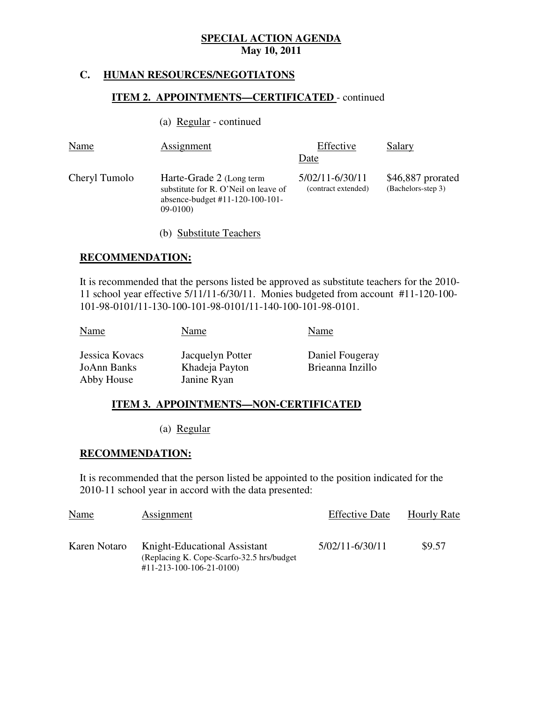### **C. HUMAN RESOURCES/NEGOTIATONS**

### **ITEM 2. APPOINTMENTS—CERTIFICATED** - continued

(a)  $Regular - continued$ </u>

| Name          | <b>Assignment</b>                                                                                                  | Effective                                      | Salary                                  |
|---------------|--------------------------------------------------------------------------------------------------------------------|------------------------------------------------|-----------------------------------------|
| Cheryl Tumolo | Harte-Grade 2 (Long term<br>substitute for R. O'Neil on leave of<br>absence-budget $#11-120-100-101-$<br>$09-0100$ | Date<br>5/02/11-6/30/11<br>(contract extended) | \$46,887 prorated<br>(Bachelors-step 3) |
|               |                                                                                                                    |                                                |                                         |

(b) Substitute Teachers

### **RECOMMENDATION:**

 It is recommended that the persons listed be approved as substitute teachers for the 2010 11 school year effective 5/11/11-6/30/11. Monies budgeted from account #11-120-100 101-98-0101/11-130-100-101-98-0101/11-140-100-101-98-0101.

| Name                                               | Name                                              | Name                                |
|----------------------------------------------------|---------------------------------------------------|-------------------------------------|
| Jessica Kovacs<br><b>JoAnn Banks</b><br>Abby House | Jacquelyn Potter<br>Khadeja Payton<br>Janine Ryan | Daniel Fougeray<br>Brieanna Inzillo |

### **ITEM 3. APPOINTMENTS—NON-CERTIFICATED**

(a) Regular

### **RECOMMENDATION:**

 It is recommended that the person listed be appointed to the position indicated for the 2010-11 school year in accord with the data presented:

| Name         | Assignment                                                                                                         | <b>Effective Date</b> | <b>Hourly Rate</b> |
|--------------|--------------------------------------------------------------------------------------------------------------------|-----------------------|--------------------|
| Karen Notaro | Knight-Educational Assistant<br>(Replacing K. Cope-Scarfo-32.5 hrs/budget)<br>$\#11 - 213 - 100 - 106 - 21 - 0100$ | 5/02/11-6/30/11       | \$9.57             |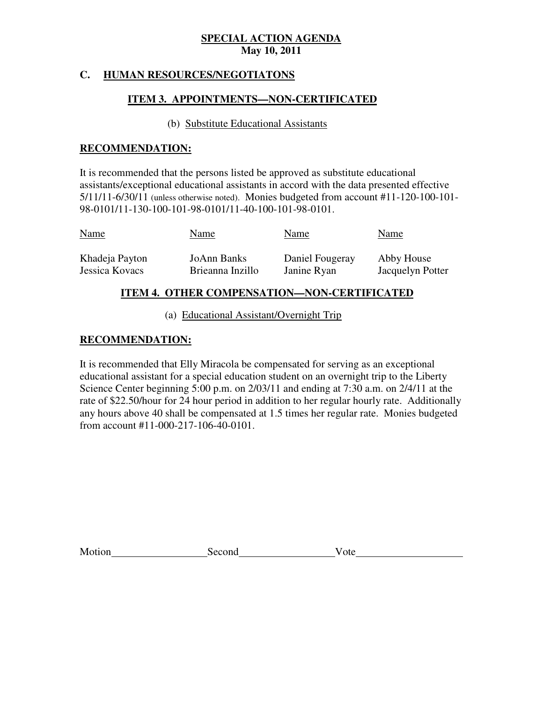### **C. HUMAN RESOURCES/NEGOTIATONS**

### **ITEM 3. APPOINTMENTS—NON-CERTIFICATED**

### (b) Substitute Educational Assistants

### **RECOMMENDATION:**

 It is recommended that the persons listed be approved as substitute educational assistants/exceptional educational assistants in accord with the data presented effective 5/11/11-6/30/11 (unless otherwise noted). Monies budgeted from account #11-120-100-101 98-0101/11-130-100-101-98-0101/11-40-100-101-98-0101.

| <b>Name</b>    | Name             | Name            | Name             |
|----------------|------------------|-----------------|------------------|
| Khadeja Payton | JoAnn Banks      | Daniel Fougeray | Abby House       |
| Jessica Kovacs | Brieanna Inzillo | Janine Ryan     | Jacquelyn Potter |

### **ITEM 4. OTHER COMPENSATION—NON-CERTIFICATED**

(a) Educational Assistant/Overnight Trip

### **RECOMMENDATION:**

 It is recommended that Elly Miracola be compensated for serving as an exceptional educational assistant for a special education student on an overnight trip to the Liberty Science Center beginning 5:00 p.m. on 2/03/11 and ending at 7:30 a.m. on 2/4/11 at the rate of \$22.50/hour for 24 hour period in addition to her regular hourly rate. Additionally any hours above 40 shall be compensated at 1.5 times her regular rate. Monies budgeted from account #11-000-217-106-40-0101.

Second Vote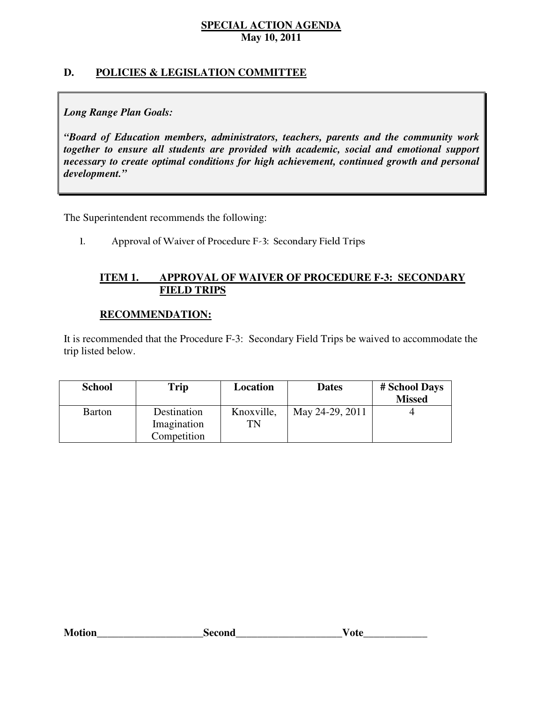### **D. POLICIES & LEGISLATION COMMITTEE**

### *Long Range Plan Goals:*

 *"Board of Education members, administrators, teachers, parents and the community work together to ensure all students are provided with academic, social and emotional support necessary to create optimal conditions for high achievement, continued growth and personal development."* 

The Superintendent recommends the following:

1. Approval of Waiver of Procedure F-3: Secondary Field Trips

### **ITEM 1. FIELD TRIPS APPROVAL OF WAIVER OF PROCEDURE F-3: SECONDARY**

### **RECOMMENDATION:**

 It is recommended that the Procedure F-3: Secondary Field Trips be waived to accommodate the trip listed below.

| <b>School</b> | Trip                                      | Location         | <b>Dates</b>    | # School Days<br><b>Missed</b> |
|---------------|-------------------------------------------|------------------|-----------------|--------------------------------|
| Barton        | Destination<br>Imagination<br>Competition | Knoxville,<br>TN | May 24-29, 2011 |                                |

| <b>Motion</b><br>Second<br>otr |  |
|--------------------------------|--|
|--------------------------------|--|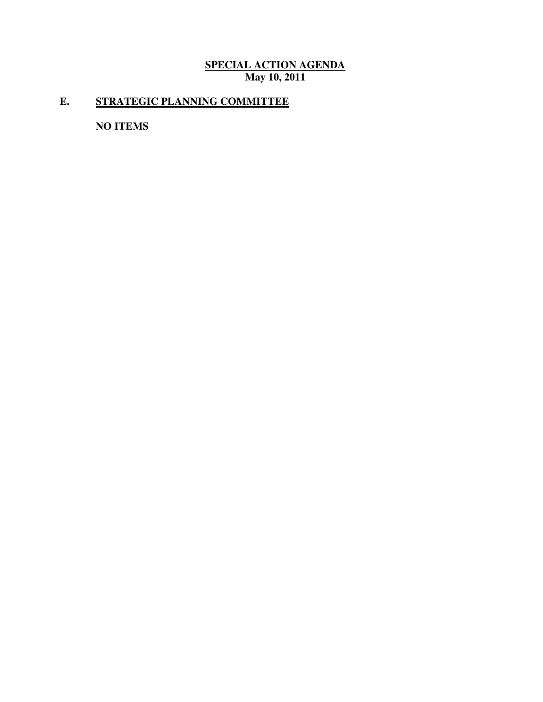# **E. STRATEGIC PLANNING COMMITTEE**

 **NO ITEMS**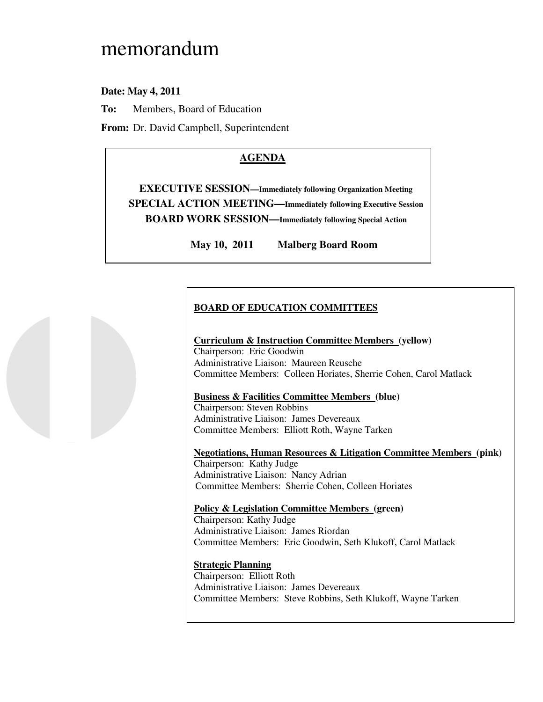# memorandum

### **Date: May 4, 2011**

**To:** Members, Board of Education

**From:** Dr. David Campbell, Superintendent

# **AGENDA**

 **EXECUTIVE SESSION—Immediately following Organization Meeting SPECIAL ACTION MEETING—Immediately following Executive Session BOARD WORK SESSION—Immediately following Special Action** 

> May 10, 2011 **Malberg Board Room**

### **BOARD OF EDUCATION COMMITTEES**

 **Curriculum & Instruction Committee Members (yellow)**  Chairperson: Eric Goodwin Administrative Liaison: Maureen Reusche Committee Members: Colleen Horiates, Sherrie Cohen, Carol Matlack

### **Business & Facilities Committee Members (blue)**

 Chairperson: Steven Robbins Administrative Liaison: James Devereaux Committee Members: Elliott Roth, Wayne Tarken

 **Negotiations, Human Resources & Litigation Committee Members (pink)**  Chairperson: Kathy Judge Administrative Liaison: Nancy Adrian Committee Members: Sherrie Cohen, Colleen Horiates

 **Policy & Legislation Committee Members (green)**  Chairperson: Kathy Judge

 Administrative Liaison: James Riordan Committee Members: Eric Goodwin, Seth Klukoff, Carol Matlack

### **Strategic Planning**

 Chairperson: Elliott Roth Administrative Liaison: James Devereaux Committee Members: Steve Robbins, Seth Klukoff, Wayne Tarken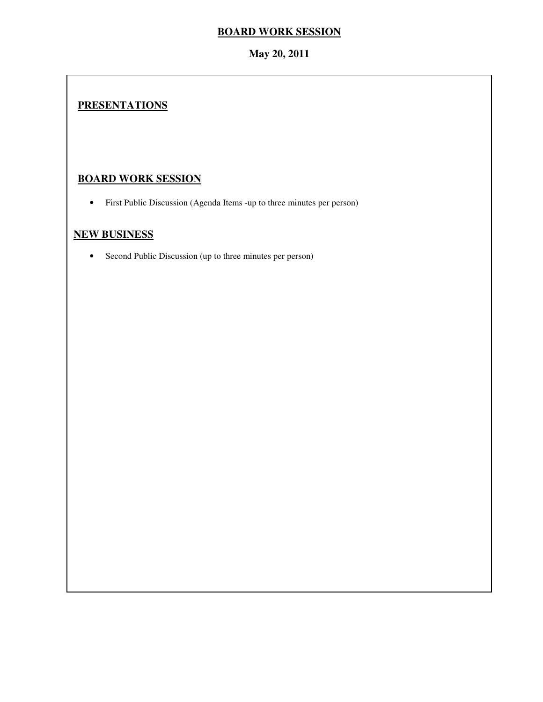### **BOARD WORK SESSION**

### **May 20, 2011**

# **PRESENTATIONS**

# **BOARD WORK SESSION**

• First Public Discussion (Agenda Items -up to three minutes per person)

# **NEW BUSINESS**

• Second Public Discussion (up to three minutes per person)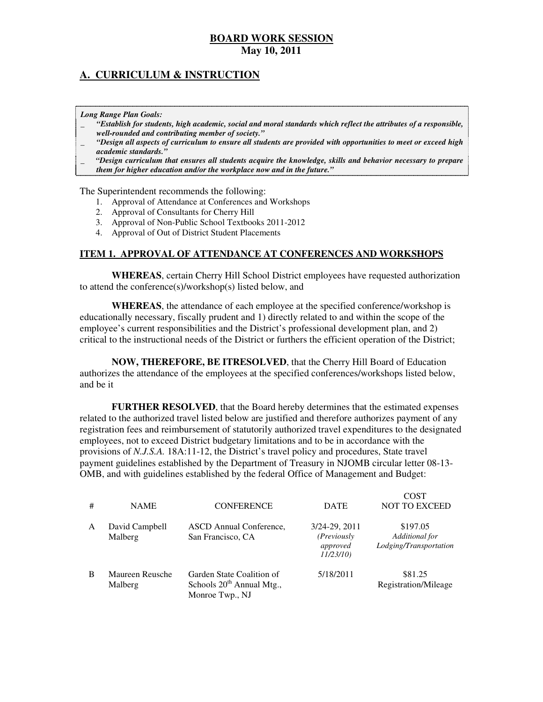### **A. CURRICULUM & INSTRUCTION**

 *Long Range Plan Goals:* 

- \_ *"Establish for students, high academic, social and moral standards which reflect the attributes of a responsible, well-rounded and contributing member of society."*
- \_ *"Design all aspects of curriculum to ensure all students are provided with opportunities to meet or exceed high academic standards."*
- \_ *"Design curriculum that ensures all students acquire the knowledge, skills and behavior necessary to prepare them for higher education and/or the workplace now and in the future."*

The Superintendent recommends the following:

- 1. Approval of Attendance at Conferences and Workshops
- 2. Approval of Consultants for Cherry Hill
- 3. Approval of Non-Public School Textbooks 2011-2012
- 4. Approval of Out of District Student Placements

### **ITEM 1. APPROVAL OF ATTENDANCE AT CONFERENCES AND WORKSHOPS**

 **WHEREAS**, certain Cherry Hill School District employees have requested authorization to attend the conference(s)/workshop(s) listed below, and

 **WHEREAS**, the attendance of each employee at the specified conference/workshop is educationally necessary, fiscally prudent and 1) directly related to and within the scope of the employee's current responsibilities and the District's professional development plan, and 2) critical to the instructional needs of the District or furthers the efficient operation of the District;

 **NOW, THEREFORE, BE ITRESOLVED**, that the Cherry Hill Board of Education authorizes the attendance of the employees at the specified conferences/workshops listed below, and be it

 **FURTHER RESOLVED**, that the Board hereby determines that the estimated expenses related to the authorized travel listed below are justified and therefore authorizes payment of any registration fees and reimbursement of statutorily authorized travel expenditures to the designated employees, not to exceed District budgetary limitations and to be in accordance with the provisions of *N.J.S.A.* 18A:11-12, the District's travel policy and procedures, State travel payment guidelines established by the Department of Treasury in NJOMB circular letter 08-13 OMB, and with guidelines established by the federal Office of Management and Budget:

| # | <b>NAME</b>                | <b>CONFERENCE</b>                                                           | <b>DATE</b>                                          | COST<br><b>NOT TO EXCEED</b>                         |
|---|----------------------------|-----------------------------------------------------------------------------|------------------------------------------------------|------------------------------------------------------|
| A | David Campbell<br>Malberg  | ASCD Annual Conference,<br>San Francisco, CA                                | 3/24-29, 2011<br>(Previously<br>approved<br>11/23/10 | \$197.05<br>Additional for<br>Lodging/Transportation |
| B | Maureen Reusche<br>Malberg | Garden State Coalition of<br>Schools $20th$ Annual Mtg.,<br>Monroe Twp., NJ | 5/18/2011                                            | \$81.25<br>Registration/Mileage                      |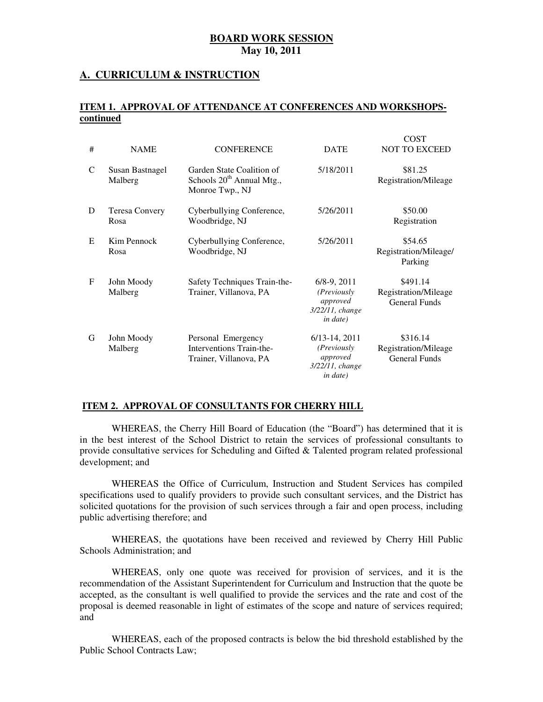### **A. CURRICULUM & INSTRUCTION**

### **ITEM 1. APPROVAL OF ATTENDANCE AT CONFERENCES AND WORKSHOPScontinued**

|             | <b>BOARD WORK SESSION</b><br>May 10, 2011 |                                                                                       |                                                                                    |                                                          |
|-------------|-------------------------------------------|---------------------------------------------------------------------------------------|------------------------------------------------------------------------------------|----------------------------------------------------------|
|             |                                           | <b>CURRICULUM &amp; INSTRUCTION</b>                                                   |                                                                                    |                                                          |
|             | ontinued                                  | EM 1. APPROVAL OF ATTENDANCE AT CONFERENCES AND WORKSHOPS-                            |                                                                                    |                                                          |
| #           | <b>NAME</b>                               | <b>CONFERENCE</b>                                                                     | <b>DATE</b>                                                                        | <b>COST</b><br><b>NOT TO EXCEED</b>                      |
| C           | Susan Bastnagel<br>Malberg                | Garden State Coalition of<br>Schools 20 <sup>th</sup> Annual Mtg.,<br>Monroe Twp., NJ | 5/18/2011                                                                          | \$81.25<br>Registration/Mileage                          |
| D           | <b>Teresa Convery</b><br>Rosa             | Cyberbullying Conference,<br>Woodbridge, NJ                                           | 5/26/2011                                                                          | \$50.00<br>Registration                                  |
| E           | Kim Pennock<br>Rosa                       | Cyberbullying Conference,<br>Woodbridge, NJ                                           | 5/26/2011                                                                          | \$54.65<br>Registration/Mileage/<br>Parking              |
| $\mathbf F$ | John Moody<br>Malberg                     | Safety Techniques Train-the-<br>Trainer, Villanova, PA                                | $6/8-9$ , $2011$<br>(Previously)<br>approved<br>3/22/11, change<br>in date)        | \$491.14<br>Registration/Mileage<br><b>General Funds</b> |
| G           | John Moody<br>Malberg                     | Personal Emergency<br>Interventions Train-the-<br>Trainer, Villanova, PA              | $6/13-14, 2011$<br>(Previously)<br>approved<br>3/22/11, change<br><i>in date</i> ) | \$316.14<br>Registration/Mileage<br><b>General Funds</b> |

### **ITEM 2. APPROVAL OF CONSULTANTS FOR CHERRY HILL**

 WHEREAS, the Cherry Hill Board of Education (the "Board") has determined that it is in the best interest of the School District to retain the services of professional consultants to provide consultative services for Scheduling and Gifted & Talented program related professional development; and

 WHEREAS the Office of Curriculum, Instruction and Student Services has compiled specifications used to qualify providers to provide such consultant services, and the District has solicited quotations for the provision of such services through a fair and open process, including public advertising therefore; and

 WHEREAS, the quotations have been received and reviewed by Cherry Hill Public Schools Administration; and

 WHEREAS, only one quote was received for provision of services, and it is the recommendation of the Assistant Superintendent for Curriculum and Instruction that the quote be accepted, as the consultant is well qualified to provide the services and the rate and cost of the proposal is deemed reasonable in light of estimates of the scope and nature of services required; and

 WHEREAS, each of the proposed contracts is below the bid threshold established by the Public School Contracts Law;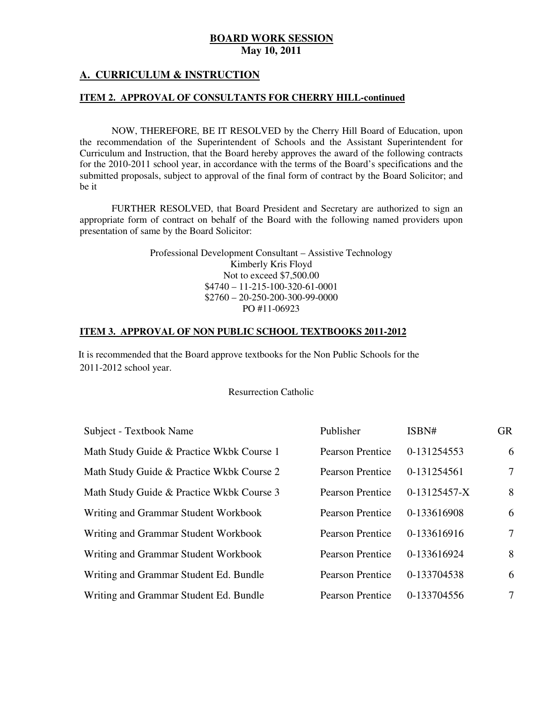### **A. CURRICULUM & INSTRUCTION**

### **ITEM 2. APPROVAL OF CONSULTANTS FOR CHERRY HILL-continued**

 NOW, THEREFORE, BE IT RESOLVED by the Cherry Hill Board of Education, upon the recommendation of the Superintendent of Schools and the Assistant Superintendent for Curriculum and Instruction, that the Board hereby approves the award of the following contracts for the 2010-2011 school year, in accordance with the terms of the Board's specifications and the submitted proposals, subject to approval of the final form of contract by the Board Solicitor; and be it

 FURTHER RESOLVED, that Board President and Secretary are authorized to sign an appropriate form of contract on behalf of the Board with the following named providers upon presentation of same by the Board Solicitor:

> Professional Development Consultant – Assistive Technology Kimberly Kris Floyd Not to exceed \$7,500.00 \$4740 – 11-215-100-320-61-0001 \$2760 – 20-250-200-300-99-0000 PO #11-06923

### **ITEM 3. APPROVAL OF NON PUBLIC SCHOOL TEXTBOOKS 2011-2012**

 2011-2012 school year. It is recommended that the Board approve textbooks for the Non Public Schools for the

### Resurrection Catholic

| Subject - Textbook Name                   | Publisher               | ISBN#          | <b>GR</b> |
|-------------------------------------------|-------------------------|----------------|-----------|
| Math Study Guide & Practice Wkbk Course 1 | <b>Pearson Prentice</b> | 0-131254553    | 6         |
| Math Study Guide & Practice Wkbk Course 2 | <b>Pearson Prentice</b> | 0-131254561    | $\tau$    |
| Math Study Guide & Practice Wkbk Course 3 | <b>Pearson Prentice</b> | $0-13125457-X$ | 8         |
| Writing and Grammar Student Workbook      | <b>Pearson Prentice</b> | 0-133616908    | 6         |
| Writing and Grammar Student Workbook      | <b>Pearson Prentice</b> | 0-133616916    | $\tau$    |
| Writing and Grammar Student Workbook      | <b>Pearson Prentice</b> | 0-133616924    | 8         |
| Writing and Grammar Student Ed. Bundle    | <b>Pearson Prentice</b> | 0-133704538    | 6         |
| Writing and Grammar Student Ed. Bundle    | <b>Pearson Prentice</b> | 0-133704556    | $\tau$    |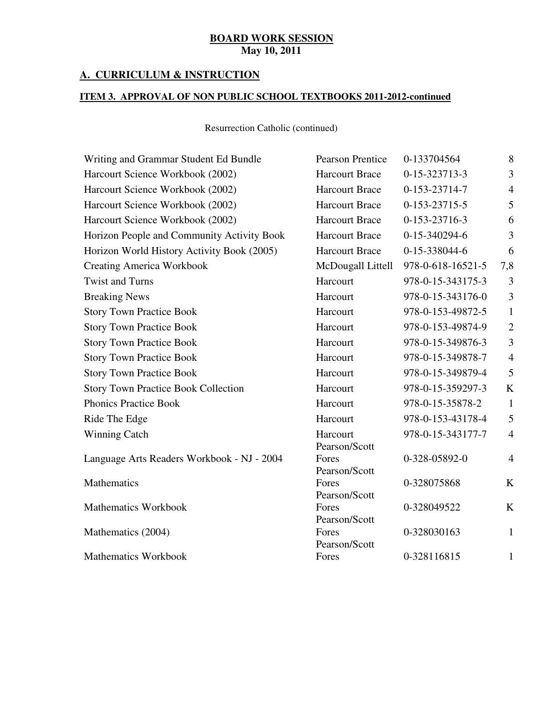### **A. CURRICULUM & INSTRUCTION**

### **ITEM 3. APPROVAL OF NON PUBLIC SCHOOL TEXTBOOKS 2011-2012-continued**

| Writing and Grammar Student Ed Bundle      | <b>Pearson Prentice</b> | 0-133704564       | 8              |
|--------------------------------------------|-------------------------|-------------------|----------------|
| Harcourt Science Workbook (2002)           | <b>Harcourt Brace</b>   | 0-15-323713-3     | 3              |
| Harcourt Science Workbook (2002)           | <b>Harcourt Brace</b>   | 0-153-23714-7     | $\overline{4}$ |
| Harcourt Science Workbook (2002)           | <b>Harcourt Brace</b>   | 0-153-23715-5     | 5              |
| Harcourt Science Workbook (2002)           | <b>Harcourt Brace</b>   | 0-153-23716-3     | 6              |
| Horizon People and Community Activity Book | <b>Harcourt Brace</b>   | 0-15-340294-6     | 3              |
| Horizon World History Activity Book (2005) | <b>Harcourt Brace</b>   | 0-15-338044-6     | 6              |
| <b>Creating America Workbook</b>           | McDougall Littell       | 978-0-618-16521-5 | 7,8            |
| <b>Twist and Turns</b>                     | Harcourt                | 978-0-15-343175-3 | 3              |
| <b>Breaking News</b>                       | Harcourt                | 978-0-15-343176-0 | 3              |
| <b>Story Town Practice Book</b>            | Harcourt                | 978-0-153-49872-5 | $\mathbf{1}$   |
| <b>Story Town Practice Book</b>            | Harcourt                | 978-0-153-49874-9 | $\mathbf{2}$   |
| <b>Story Town Practice Book</b>            | Harcourt                | 978-0-15-349876-3 | 3              |
| <b>Story Town Practice Book</b>            | Harcourt                | 978-0-15-349878-7 | $\overline{4}$ |
| <b>Story Town Practice Book</b>            | Harcourt                | 978-0-15-349879-4 | 5              |
| <b>Story Town Practice Book Collection</b> | Harcourt                | 978-0-15-359297-3 | K              |
| <b>Phonics Practice Book</b>               | Harcourt                | 978-0-15-35878-2  | $\mathbf{1}$   |
| Ride The Edge                              | Harcourt                | 978-0-153-43178-4 | 5              |
| <b>Winning Catch</b>                       | Harcourt                | 978-0-15-343177-7 | $\overline{4}$ |
|                                            | Pearson/Scott           |                   |                |
| Language Arts Readers Workbook - NJ - 2004 | Fores                   | 0-328-05892-0     | $\overline{4}$ |
| Mathematics                                | Pearson/Scott<br>Fores  | 0-328075868       | $\bf K$        |
|                                            | Pearson/Scott           |                   |                |
| <b>Mathematics Workbook</b>                | Fores                   | 0-328049522       | K              |
|                                            | Pearson/Scott           |                   |                |
| Mathematics (2004)                         | Fores                   | 0-328030163       | $\mathbf{1}$   |
| <b>Mathematics Workbook</b>                | Pearson/Scott<br>Fores  | 0-328116815       | $\mathbf{1}$   |
|                                            |                         |                   |                |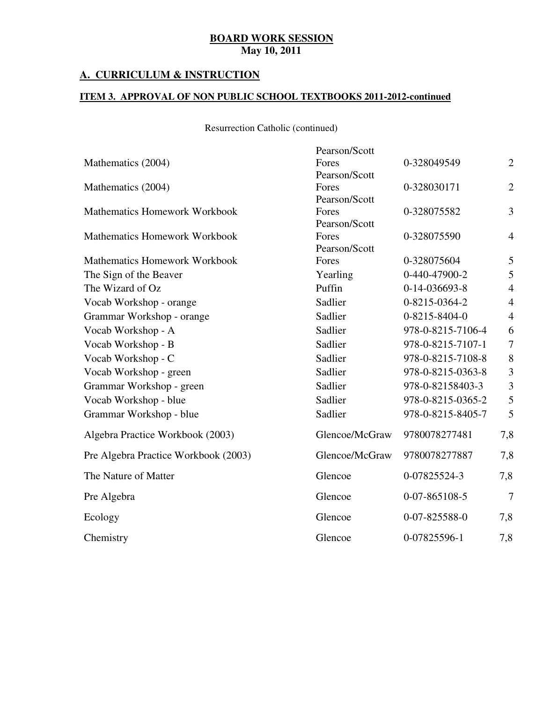### **A. CURRICULUM & INSTRUCTION**

### **ITEM 3. APPROVAL OF NON PUBLIC SCHOOL TEXTBOOKS 2011-2012-continued**

|                                      | Pearson/Scott  |                   |                  |
|--------------------------------------|----------------|-------------------|------------------|
| Mathematics (2004)                   | Fores          | 0-328049549       | $\mathbf{2}$     |
|                                      | Pearson/Scott  |                   |                  |
| Mathematics (2004)                   | Fores          | 0-328030171       | $\overline{2}$   |
|                                      | Pearson/Scott  |                   |                  |
| <b>Mathematics Homework Workbook</b> | Fores          | 0-328075582       | 3                |
|                                      | Pearson/Scott  |                   |                  |
| <b>Mathematics Homework Workbook</b> | Fores          | 0-328075590       | $\overline{4}$   |
|                                      | Pearson/Scott  |                   |                  |
| <b>Mathematics Homework Workbook</b> | Fores          | 0-328075604       | 5                |
| The Sign of the Beaver               | Yearling       | 0-440-47900-2     | 5                |
| The Wizard of Oz                     | Puffin         | 0-14-036693-8     | $\overline{4}$   |
| Vocab Workshop - orange              | Sadlier        | 0-8215-0364-2     | $\overline{4}$   |
| Grammar Workshop - orange            | Sadlier        | 0-8215-8404-0     | $\overline{4}$   |
| Vocab Workshop - A                   | Sadlier        | 978-0-8215-7106-4 | 6                |
| Vocab Workshop - B                   | Sadlier        | 978-0-8215-7107-1 | $\boldsymbol{7}$ |
| Vocab Workshop - C                   | Sadlier        | 978-0-8215-7108-8 | 8                |
| Vocab Workshop - green               | Sadlier        | 978-0-8215-0363-8 | 3                |
| Grammar Workshop - green             | Sadlier        | 978-0-82158403-3  | $\overline{3}$   |
| Vocab Workshop - blue                | Sadlier        | 978-0-8215-0365-2 | 5                |
| Grammar Workshop - blue              | Sadlier        | 978-0-8215-8405-7 | 5                |
| Algebra Practice Workbook (2003)     | Glencoe/McGraw | 9780078277481     | 7,8              |
| Pre Algebra Practice Workbook (2003) | Glencoe/McGraw | 9780078277887     | 7,8              |
| The Nature of Matter                 | Glencoe        | 0-07825524-3      | 7,8              |
| Pre Algebra                          | Glencoe        | 0-07-865108-5     | $\overline{7}$   |
| Ecology                              | Glencoe        | 0-07-825588-0     | 7,8              |
| Chemistry                            | Glencoe        | 0-07825596-1      | 7,8              |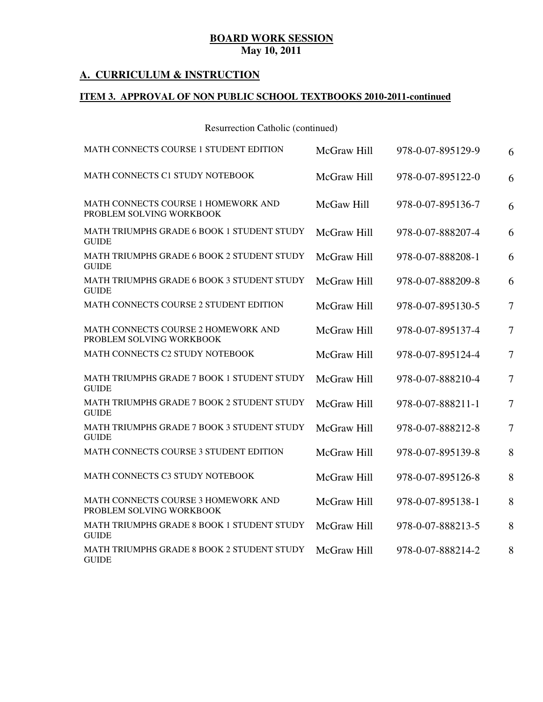### **A. CURRICULUM & INSTRUCTION**

### **ITEM 3. APPROVAL OF NON PUBLIC SCHOOL TEXTBOOKS 2010-2011-continued**

| MATH CONNECTS COURSE 1 STUDENT EDITION                            | McGraw Hill | 978-0-07-895129-9 | 6              |
|-------------------------------------------------------------------|-------------|-------------------|----------------|
| MATH CONNECTS C1 STUDY NOTEBOOK                                   | McGraw Hill | 978-0-07-895122-0 | 6              |
| MATH CONNECTS COURSE 1 HOMEWORK AND<br>PROBLEM SOLVING WORKBOOK   | McGaw Hill  | 978-0-07-895136-7 | 6              |
| MATH TRIUMPHS GRADE 6 BOOK 1 STUDENT STUDY<br><b>GUIDE</b>        | McGraw Hill | 978-0-07-888207-4 | 6              |
| MATH TRIUMPHS GRADE 6 BOOK 2 STUDENT STUDY<br><b>GUIDE</b>        | McGraw Hill | 978-0-07-888208-1 | 6              |
| <b>MATH TRIUMPHS GRADE 6 BOOK 3 STUDENT STUDY</b><br><b>GUIDE</b> | McGraw Hill | 978-0-07-888209-8 | 6              |
| MATH CONNECTS COURSE 2 STUDENT EDITION                            | McGraw Hill | 978-0-07-895130-5 | $\overline{7}$ |
| MATH CONNECTS COURSE 2 HOMEWORK AND<br>PROBLEM SOLVING WORKBOOK   | McGraw Hill | 978-0-07-895137-4 | $\overline{7}$ |
| MATH CONNECTS C2 STUDY NOTEBOOK                                   | McGraw Hill | 978-0-07-895124-4 | $\overline{7}$ |
| MATH TRIUMPHS GRADE 7 BOOK 1 STUDENT STUDY<br><b>GUIDE</b>        | McGraw Hill | 978-0-07-888210-4 | $\overline{7}$ |
| MATH TRIUMPHS GRADE 7 BOOK 2 STUDENT STUDY<br><b>GUIDE</b>        | McGraw Hill | 978-0-07-888211-1 | $\overline{7}$ |
| MATH TRIUMPHS GRADE 7 BOOK 3 STUDENT STUDY<br><b>GUIDE</b>        | McGraw Hill | 978-0-07-888212-8 | $\overline{7}$ |
| MATH CONNECTS COURSE 3 STUDENT EDITION                            | McGraw Hill | 978-0-07-895139-8 | 8              |
| MATH CONNECTS C3 STUDY NOTEBOOK                                   | McGraw Hill | 978-0-07-895126-8 | 8              |
| MATH CONNECTS COURSE 3 HOMEWORK AND<br>PROBLEM SOLVING WORKBOOK   | McGraw Hill | 978-0-07-895138-1 | 8              |
| MATH TRIUMPHS GRADE 8 BOOK 1 STUDENT STUDY<br><b>GUIDE</b>        | McGraw Hill | 978-0-07-888213-5 | 8              |
| MATH TRIUMPHS GRADE 8 BOOK 2 STUDENT STUDY<br><b>GUIDE</b>        | McGraw Hill | 978-0-07-888214-2 | 8              |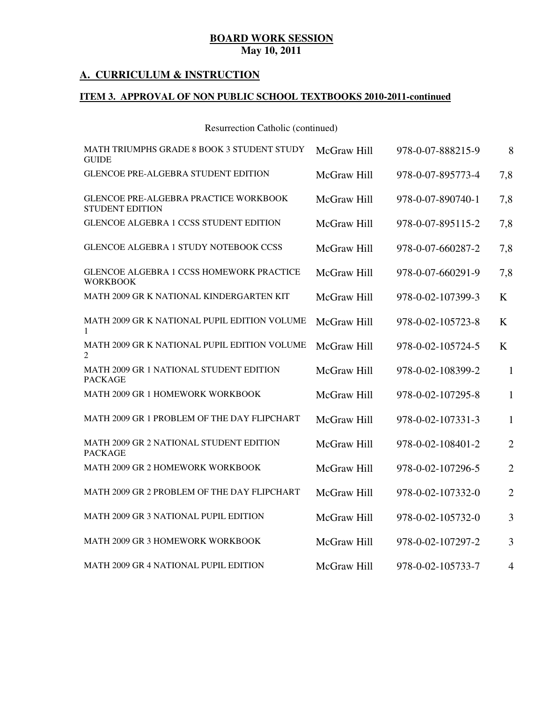### **A. CURRICULUM & INSTRUCTION**

### **ITEM 3. APPROVAL OF NON PUBLIC SCHOOL TEXTBOOKS 2010-2011-continued**

| MATH TRIUMPHS GRADE 8 BOOK 3 STUDENT STUDY<br><b>GUIDE</b>             | McGraw Hill | 978-0-07-888215-9 | 8              |
|------------------------------------------------------------------------|-------------|-------------------|----------------|
| GLENCOE PRE-ALGEBRA STUDENT EDITION                                    | McGraw Hill | 978-0-07-895773-4 | 7,8            |
| <b>GLENCOE PRE-ALGEBRA PRACTICE WORKBOOK</b><br><b>STUDENT EDITION</b> | McGraw Hill | 978-0-07-890740-1 | 7,8            |
| <b>GLENCOE ALGEBRA 1 CCSS STUDENT EDITION</b>                          | McGraw Hill | 978-0-07-895115-2 | 7,8            |
| <b>GLENCOE ALGEBRA 1 STUDY NOTEBOOK CCSS</b>                           | McGraw Hill | 978-0-07-660287-2 | 7,8            |
| <b>GLENCOE ALGEBRA 1 CCSS HOMEWORK PRACTICE</b><br><b>WORKBOOK</b>     | McGraw Hill | 978-0-07-660291-9 | 7,8            |
| MATH 2009 GR K NATIONAL KINDERGARTEN KIT                               | McGraw Hill | 978-0-02-107399-3 | $\bf K$        |
| MATH 2009 GR K NATIONAL PUPIL EDITION VOLUME<br>1                      | McGraw Hill | 978-0-02-105723-8 | K              |
| MATH 2009 GR K NATIONAL PUPIL EDITION VOLUME<br>$\overline{2}$         | McGraw Hill | 978-0-02-105724-5 | K              |
| MATH 2009 GR 1 NATIONAL STUDENT EDITION<br><b>PACKAGE</b>              | McGraw Hill | 978-0-02-108399-2 | $\mathbf{1}$   |
| MATH 2009 GR 1 HOMEWORK WORKBOOK                                       | McGraw Hill | 978-0-02-107295-8 | $\mathbf{1}$   |
| MATH 2009 GR 1 PROBLEM OF THE DAY FLIPCHART                            | McGraw Hill | 978-0-02-107331-3 | 1              |
| MATH 2009 GR 2 NATIONAL STUDENT EDITION<br><b>PACKAGE</b>              | McGraw Hill | 978-0-02-108401-2 | $\overline{2}$ |
| MATH 2009 GR 2 HOMEWORK WORKBOOK                                       | McGraw Hill | 978-0-02-107296-5 | $\overline{2}$ |
| MATH 2009 GR 2 PROBLEM OF THE DAY FLIPCHART                            | McGraw Hill | 978-0-02-107332-0 | $\overline{2}$ |
| MATH 2009 GR 3 NATIONAL PUPIL EDITION                                  | McGraw Hill | 978-0-02-105732-0 | 3              |
| MATH 2009 GR 3 HOMEWORK WORKBOOK                                       | McGraw Hill | 978-0-02-107297-2 | 3              |
| MATH 2009 GR 4 NATIONAL PUPIL EDITION                                  | McGraw Hill | 978-0-02-105733-7 | 4              |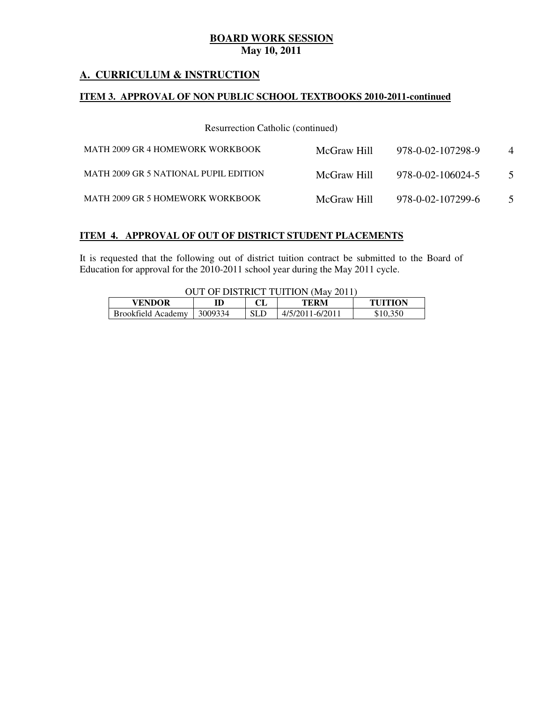### **A. CURRICULUM & INSTRUCTION**

### **ITEM 3. APPROVAL OF NON PUBLIC SCHOOL TEXTBOOKS 2010-2011-continued**

Resurrection Catholic (continued)

| MATH 2009 GR 4 HOMEWORK WORKBOOK      | McGraw Hill | 978-0-02-107298-9 | $\overline{4}$ |
|---------------------------------------|-------------|-------------------|----------------|
| MATH 2009 GR 5 NATIONAL PUPIL EDITION | McGraw Hill | 978-0-02-106024-5 | $\overline{5}$ |
| MATH 2009 GR 5 HOMEWORK WORKBOOK      | McGraw Hill | 978-0-02-107299-6 | 5              |

### **ITEM 4. APPROVAL OF OUT OF DISTRICT STUDENT PLACEMENTS**

 It is requested that the following out of district tuition contract be submitted to the Board of Education for approval for the 2010-2011 school year during the May 2011 cycle.

OUT OF DISTRICT TUITION (May 2011)

| <b>VENDOR</b>             |         | ci  | "ERM-            | THITION  |
|---------------------------|---------|-----|------------------|----------|
| <b>Brookfield Academy</b> | 3009334 | SLD | $1-6/2011$<br>41 | 350<br>ு |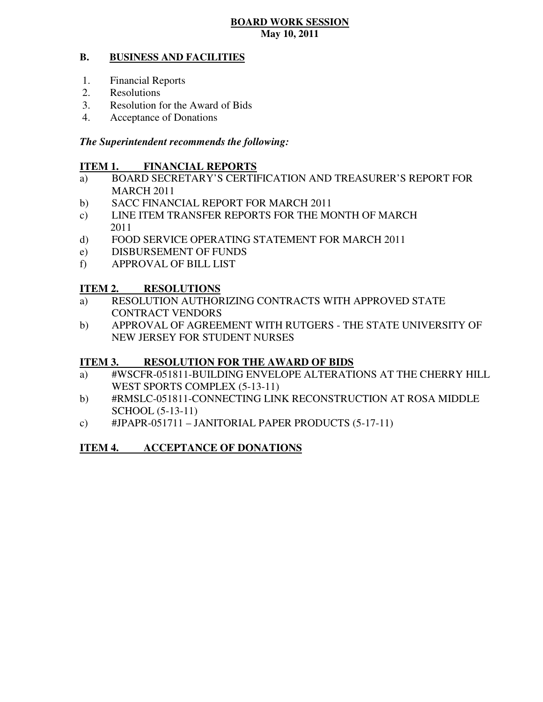#### **B. BUSINESS AND FACILITIES**

- 1. Financial Reports
- 2. Resolutions
- 3. Resolution for the Award of Bids
- 4. Acceptance of Donations

### *The Superintendent recommends the following:*

#### **ITEM 1. FINANCIAL REPORTS**

- a) BOARD SECRETARY'S CERTIFICATION AND TREASURER'S REPORT FOR MARCH 2011
- $b)$ SACC FINANCIAL REPORT FOR MARCH 2011
- $\mathbf{c})$ LINE ITEM TRANSFER REPORTS FOR THE MONTH OF MARCH 2011
- $\mathbf{d}$ FOOD SERVICE OPERATING STATEMENT FOR MARCH 2011
- e) DISBURSEMENT OF FUNDS
- f) APPROVAL OF BILL LIST

#### **ITEM 2. RESOLUTIONS**

- a) RESOLUTION AUTHORIZING CONTRACTS WITH APPROVED STATE CONTRACT VENDORS
- b) APPROVAL OF AGREEMENT WITH RUTGERS THE STATE UNIVERSITY OF NEW JERSEY FOR STUDENT NURSES

#### **ITEM 3. RESOLUTION FOR THE AWARD OF BIDS**

- a) #WSCFR-051811-BUILDING ENVELOPE ALTERATIONS AT THE CHERRY HILL WEST SPORTS COMPLEX (5-13-11)
- b) #RMSLC-051811-CONNECTING LINK RECONSTRUCTION AT ROSA MIDDLE SCHOOL (5-13-11)
- c)  $\qquad$  #JPAPR-051711 JANITORIAL PAPER PRODUCTS (5-17-11)

#### **ITEM 4. INCCEPTANCE OF DONATIONS**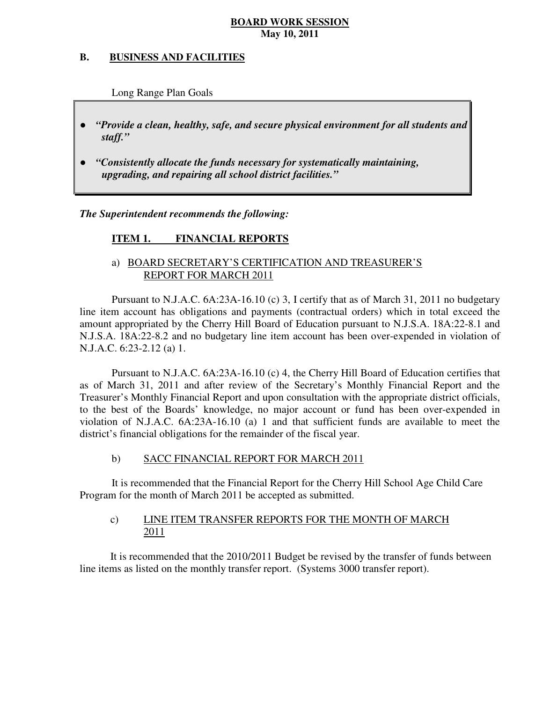#### **B. B. BUSINESS AND FACILITIES**

Long Range Plan Goals

- *"Provide a clean, healthy, safe, and secure physical environment for all students and staff."*
- *upgrading, and repairing all school district facilities."*  ● *"Consistently allocate the funds necessary for systematically maintaining,*

 *The Superintendent recommends the following:* 

#### **ITEM 1. FINANCIAL REPORTS**

### a) BOARD SECRETARY'S CERTIFICATION AND TREASURER'S REPORT FOR MARCH 2011

 Pursuant to N.J.A.C. 6A:23A-16.10 (c) 3, I certify that as of March 31, 2011 no budgetary line item account has obligations and payments (contractual orders) which in total exceed the amount appropriated by the Cherry Hill Board of Education pursuant to N.J.S.A. 18A:22-8.1 and N.J.S.A. 18A:22-8.2 and no budgetary line item account has been over-expended in violation of N.J.A.C. 6:23-2.12 (a) 1.

 Pursuant to N.J.A.C. 6A:23A-16.10 (c) 4, the Cherry Hill Board of Education certifies that as of March 31, 2011 and after review of the Secretary's Monthly Financial Report and the Treasurer's Monthly Financial Report and upon consultation with the appropriate district officials, to the best of the Boards' knowledge, no major account or fund has been over-expended in violation of N.J.A.C. 6A:23A-16.10 (a) 1 and that sufficient funds are available to meet the district's financial obligations for the remainder of the fiscal year.

#### $b)$ b) SACC FINANCIAL REPORT FOR MARCH 2011

 It is recommended that the Financial Report for the Cherry Hill School Age Child Care Program for the month of March 2011 be accepted as submitted.

### $c)$ LINE ITEM TRANSFER REPORTS FOR THE MONTH OF MARCH 2011

 It is recommended that the 2010/2011 Budget be revised by the transfer of funds between line items as listed on the monthly transfer report. (Systems 3000 transfer report).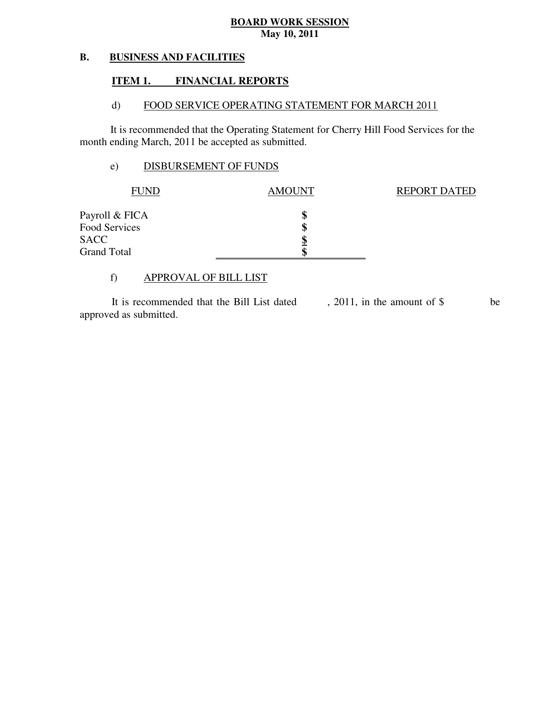#### **B. BUSINESS AND FACILITIES**

#### **ITEM 1. FINANCIAL REPORTS**

#### $\mathbf{d}$ FOOD SERVICE OPERATING STATEMENT FOR MARCH 2011

 It is recommended that the Operating Statement for Cherry Hill Food Services for the month ending March, 2011 be accepted as submitted.

### e) DISBURSEMENT OF FUNDS

| <b>FUND</b>        | <b>AMOUNT</b> | <b>REPORT DATED</b> |
|--------------------|---------------|---------------------|
| Payroll & FICA     |               |                     |
| Food Services      |               |                     |
| <b>SACC</b>        |               |                     |
| <b>Grand Total</b> |               |                     |

### f) APPROVAL OF BILL LIST

 approved as submitted. It is recommended that the Bill List dated , 2011, in the amount of \$ be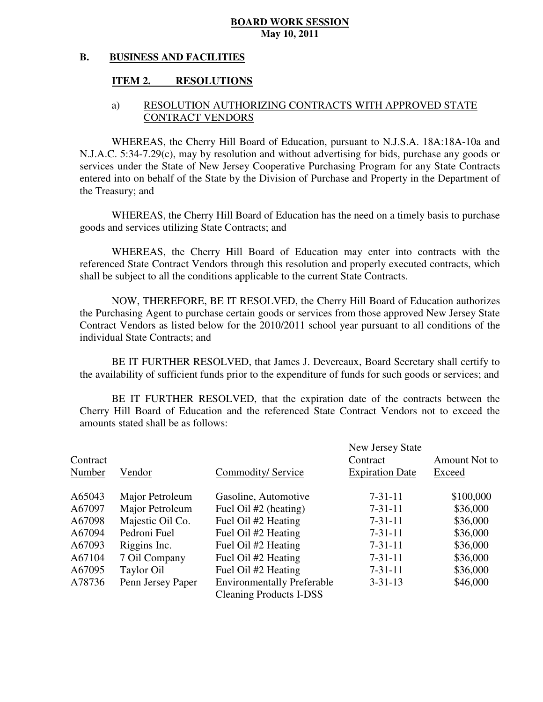#### **B. BUSINESS AND FACILITIES**

#### **ITEM 2. RESOLUTIONS**

### a) RESOLUTION AUTHORIZING CONTRACTS WITH APPROVED STATE CONTRACT VENDORS

 WHEREAS, the Cherry Hill Board of Education, pursuant to N.J.S.A. 18A:18A-10a and N.J.A.C. 5:34-7.29(c), may by resolution and without advertising for bids, purchase any goods or services under the State of New Jersey Cooperative Purchasing Program for any State Contracts entered into on behalf of the State by the Division of Purchase and Property in the Department of the Treasury; and

 WHEREAS, the Cherry Hill Board of Education has the need on a timely basis to purchase goods and services utilizing State Contracts; and

 WHEREAS, the Cherry Hill Board of Education may enter into contracts with the referenced State Contract Vendors through this resolution and properly executed contracts, which shall be subject to all the conditions applicable to the current State Contracts.

 NOW, THEREFORE, BE IT RESOLVED, the Cherry Hill Board of Education authorizes the Purchasing Agent to purchase certain goods or services from those approved New Jersey State Contract Vendors as listed below for the 2010/2011 school year pursuant to all conditions of the individual State Contracts; and

 the availability of sufficient funds prior to the expenditure of funds for such goods or services; and BE IT FURTHER RESOLVED, that James J. Devereaux, Board Secretary shall certify to

 Cherry Hill Board of Education and the referenced State Contract Vendors not to exceed the amounts stated shall be as follows: BE IT FURTHER RESOLVED, that the expiration date of the contracts between the

| Contract<br>Number | Vendor            | Commodity/Service                 | New Jersey State<br>Contract<br><b>Expiration Date</b> | Amount Not to<br>Exceed |
|--------------------|-------------------|-----------------------------------|--------------------------------------------------------|-------------------------|
| A65043             | Major Petroleum   | Gasoline, Automotive              | $7 - 31 - 11$                                          | \$100,000               |
| A67097             | Major Petroleum   | Fuel Oil #2 (heating)             | $7 - 31 - 11$                                          | \$36,000                |
| A67098             | Majestic Oil Co.  | Fuel Oil #2 Heating               | $7 - 31 - 11$                                          | \$36,000                |
| A67094             | Pedroni Fuel      | Fuel Oil #2 Heating               | $7 - 31 - 11$                                          | \$36,000                |
| A67093             | Riggins Inc.      | Fuel Oil #2 Heating               | $7 - 31 - 11$                                          | \$36,000                |
| A67104             | 7 Oil Company     | Fuel Oil #2 Heating               | $7 - 31 - 11$                                          | \$36,000                |
| A67095             | Taylor Oil        | Fuel Oil #2 Heating               | $7 - 31 - 11$                                          | \$36,000                |
| A78736             | Penn Jersey Paper | <b>Environmentally Preferable</b> | $3 - 31 - 13$                                          | \$46,000                |
|                    |                   | <b>Cleaning Products I-DSS</b>    |                                                        |                         |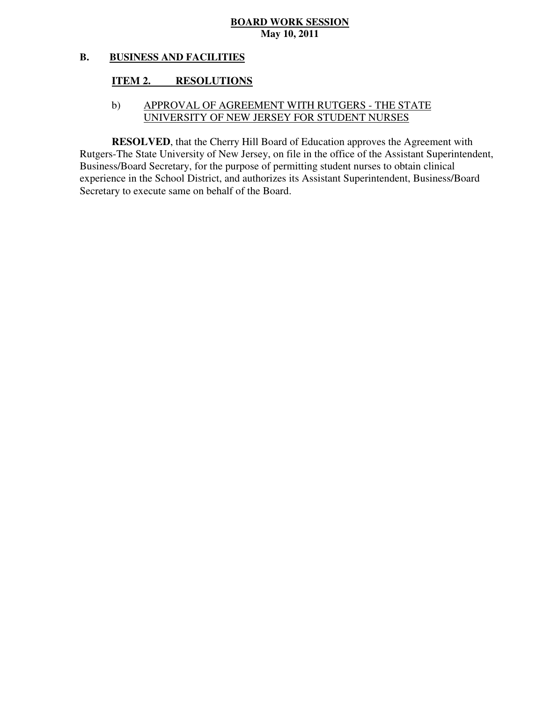#### **B. BUSINESS AND FACILITIES**

#### **ITEM 2. RESOLUTIONS**

### b) APPROVAL OF AGREEMENT WITH RUTGERS - THE STATE UNIVERSITY OF NEW JERSEY FOR STUDENT NURSES

 **RESOLVED**, that the Cherry Hill Board of Education approves the Agreement with Rutgers-The State University of New Jersey, on file in the office of the Assistant Superintendent, Business/Board Secretary, for the purpose of permitting student nurses to obtain clinical experience in the School District, and authorizes its Assistant Superintendent, Business/Board Secretary to execute same on behalf of the Board.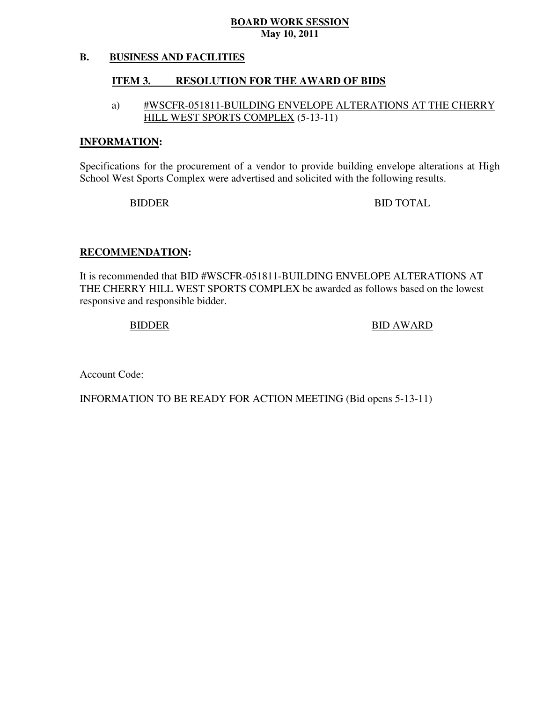#### **B. BUSINESS AND FACILITIES**

#### **ITEM 3. RESOLUTION FOR THE AWARD OF BIDS**

### a) #WSCFR-051811-BUILDING ENVELOPE ALTERATIONS AT THE CHERRY HILL WEST SPORTS COMPLEX (5-13-11)

### **INFORMATION:**

 Specifications for the procurement of a vendor to provide building envelope alterations at High School West Sports Complex were advertised and solicited with the following results.

### BIDDER BID TOTAL

### **RECOMMENDATION:**

 It is recommended that BID #WSCFR-051811-BUILDING ENVELOPE ALTERATIONS AT THE CHERRY HILL WEST SPORTS COMPLEX be awarded as follows based on the lowest responsive and responsible bidder.

### BIDDER BID AWARD

Account Code:

INFORMATION TO BE READY FOR ACTION MEETING (Bid opens 5-13-11)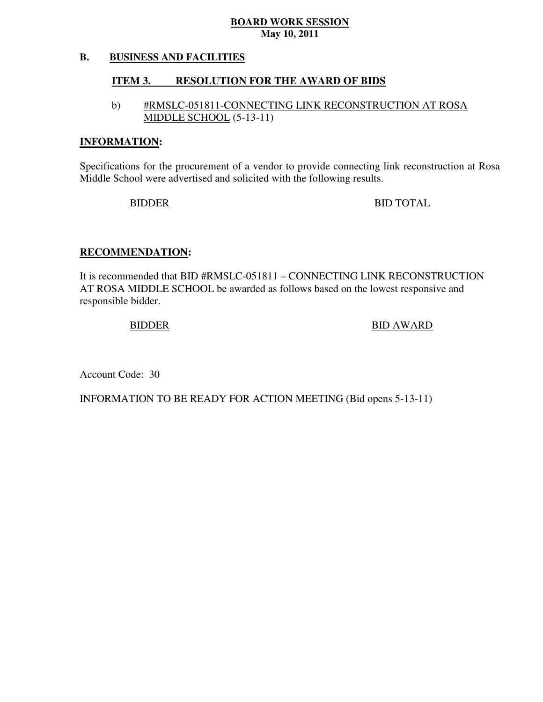#### **B. BUSINESS AND FACILITIES**

#### **ITEM 3. RESOLUTION FOR THE AWARD OF BIDS**

### b) #RMSLC-051811-CONNECTING LINK RECONSTRUCTION AT ROSA MIDDLE SCHOOL (5-13-11)

### **INFORMATION:**

 Specifications for the procurement of a vendor to provide connecting link reconstruction at Rosa Middle School were advertised and solicited with the following results.

BIDDER BID TOTAL

### **RECOMMENDATION:**

 It is recommended that BID #RMSLC-051811 – CONNECTING LINK RECONSTRUCTION AT ROSA MIDDLE SCHOOL be awarded as follows based on the lowest responsive and responsible bidder.

BIDDER BID AWARD

Account Code: 30

INFORMATION TO BE READY FOR ACTION MEETING (Bid opens 5-13-11)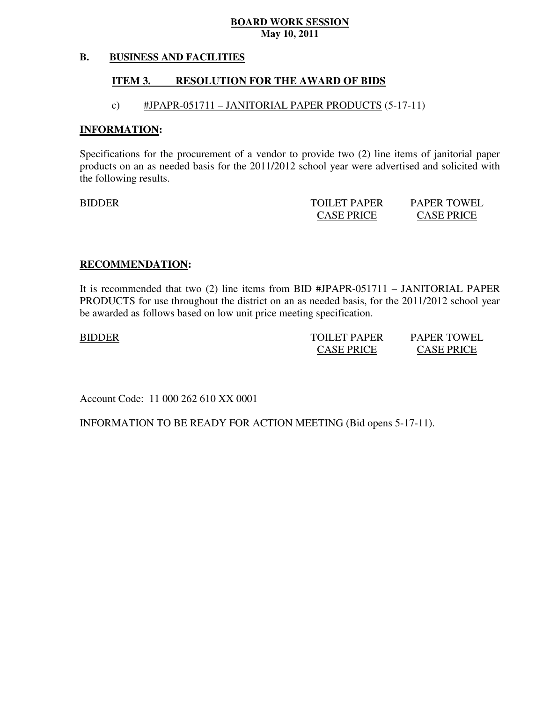#### **B. BUSINESS AND FACILITIES**

#### **ITEM 3. RESOLUTION FOR THE AWARD OF BIDS**

### c) #JPAPR-051711 – JANITORIAL PAPER PRODUCTS (5-17-11)

### **INFORMATION:**

 Specifications for the procurement of a vendor to provide two (2) line items of janitorial paper products on an as needed basis for the 2011/2012 school year were advertised and solicited with the following results.

|--|

BIDDER TOILET PAPER PAPER TOWEL CASE PRICE CASE PRICE

PAPER TOWEL **CASE PRICE** 

### **RECOMMENDATION:**

 It is recommended that two (2) line items from BID #JPAPR-051711 – JANITORIAL PAPER PRODUCTS for use throughout the district on an as needed basis, for the 2011/2012 school year be awarded as follows based on low unit price meeting specification.

BIDDER TOILET PAPER PAPER TOWEL CASE PRICE CASE PRICE **PAPER TOWEL CASE PRICE** 

Account Code: 11 000 262 610 XX 0001

INFORMATION TO BE READY FOR ACTION MEETING (Bid opens 5-17-11).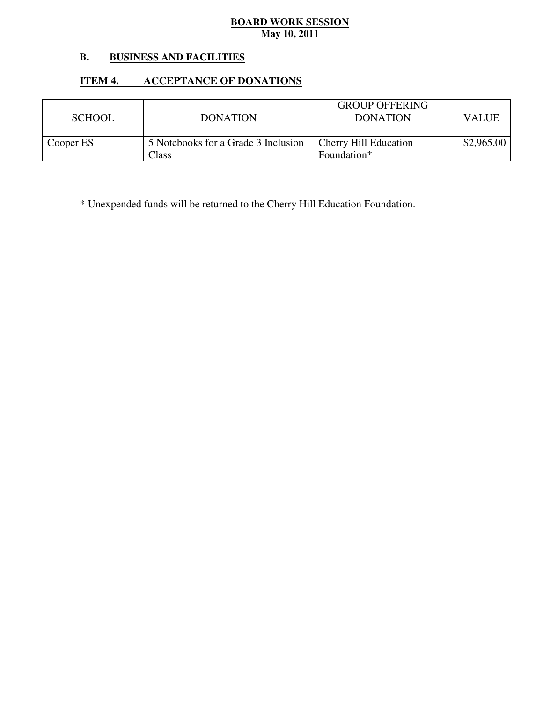### **B. BUSINESS AND FACILITIES**

### **ITEM 4. ITEM 4. ACCEPTANCE OF DONATIONS**

| <b>SCHOOL</b> | <b>DONATION</b>                              | <b>GROUP OFFERING</b><br><b>DONATION</b>    | VALUE      |
|---------------|----------------------------------------------|---------------------------------------------|------------|
| Cooper ES     | 5 Notebooks for a Grade 3 Inclusion<br>Class | <b>Cherry Hill Education</b><br>Foundation* | \$2,965.00 |

\* Unexpended funds will be returned to the Cherry Hill Education Foundation.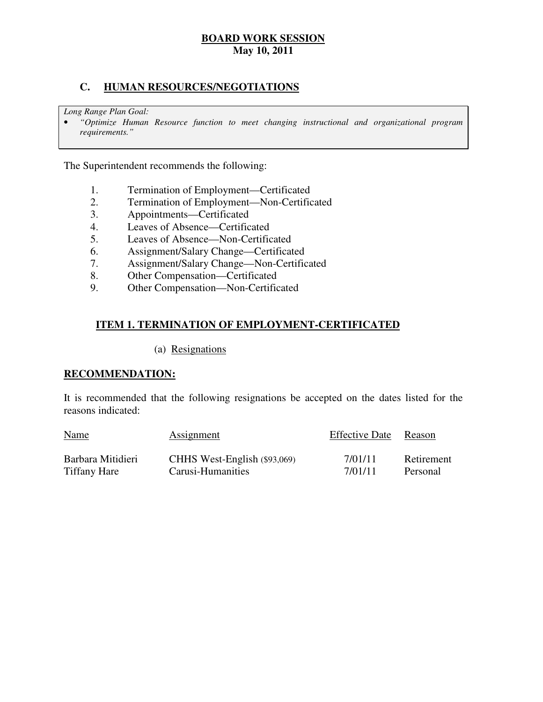### **C. HUMAN RESOURCES/NEGOTIATIONS**

 *Long Range Plan Goal:* 

 • *"Optimize Human Resource function to meet changing instructional and organizational program requirements."* 

The Superintendent recommends the following:

- 1. Termination of Employment—Certificated
- 2. Termination of Employment—Non-Certificated
- 3. Appointments—Certificated
- 4. Leaves of Absence—Certificated
- 5. Leaves of Absence—Non-Certificated
- 6. Assignment/Salary Change—Certificated
- 7. Assignment/Salary Change—Non-Certificated
- 8. Other Compensation—Certificated
- 9. Other Compensation—Non-Certificated

### **ITEM 1. TERMINATION OF EMPLOYMENT-CERTIFICATED**

### (a) Resignations

### **RECOMMENDATION:**

 It is recommended that the following resignations be accepted on the dates listed for the reasons indicated:

| <b>Name</b>         | Assignment                   | <b>Effective Date</b> | Reason     |
|---------------------|------------------------------|-----------------------|------------|
| Barbara Mitidieri   | CHHS West-English (\$93,069) | 7/01/11               | Retirement |
| <b>Tiffany Hare</b> | Carusi-Humanities            | 7/01/11               | Personal   |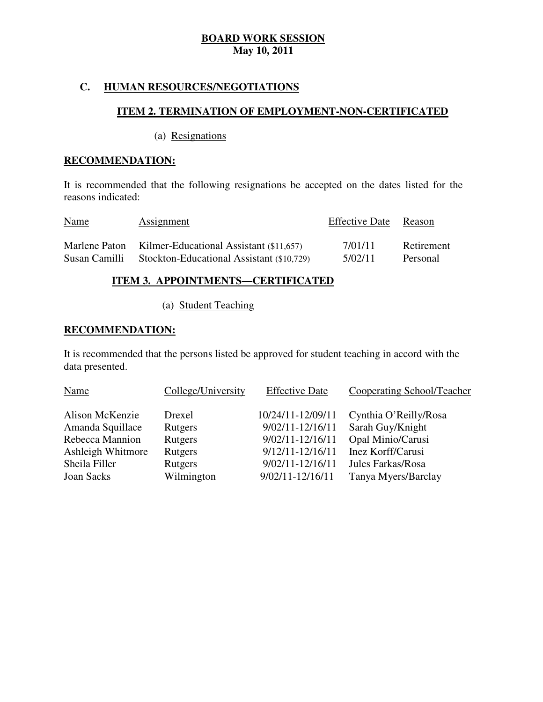### **C. HUMAN RESOURCES/NEGOTIATIONS**

### **ITEM 2. TERMINATION OF EMPLOYMENT-NON-CERTIFICATED**

(a) Resignations

### **RECOMMENDATION:**

 It is recommended that the following resignations be accepted on the dates listed for the reasons indicated:

| <u>Name</u>   | <b>Assignment</b>                                     | <b>Effective Date</b> | Reason     |
|---------------|-------------------------------------------------------|-----------------------|------------|
|               | Marlene Paton Kilmer-Educational Assistant (\$11,657) | 7/01/11               | Retirement |
| Susan Camilli | Stockton-Educational Assistant (\$10,729)             | 5/02/11               | Personal   |

### **ITEM 3. APPOINTMENTS—CERTIFICATED**

(a) Student Teaching

### **RECOMMENDATION:**

 It is recommended that the persons listed be approved for student teaching in accord with the data presented.

| Name              | College/University | <b>Effective Date</b> | Cooperating School/Teacher |
|-------------------|--------------------|-----------------------|----------------------------|
| Alison McKenzie   | Drexel             | 10/24/11-12/09/11     | Cynthia O'Reilly/Rosa      |
| Amanda Squillace  | Rutgers            | 9/02/11-12/16/11      | Sarah Guy/Knight           |
| Rebecca Mannion   | Rutgers            | 9/02/11-12/16/11      | Opal Minio/Carusi          |
| Ashleigh Whitmore | Rutgers            | $9/12/11 - 12/16/11$  | Inez Korff/Carusi          |
| Sheila Filler     | Rutgers            | $9/02/11 - 12/16/11$  | Jules Farkas/Rosa          |
| Joan Sacks        | Wilmington         | 9/02/11-12/16/11      | Tanya Myers/Barclay        |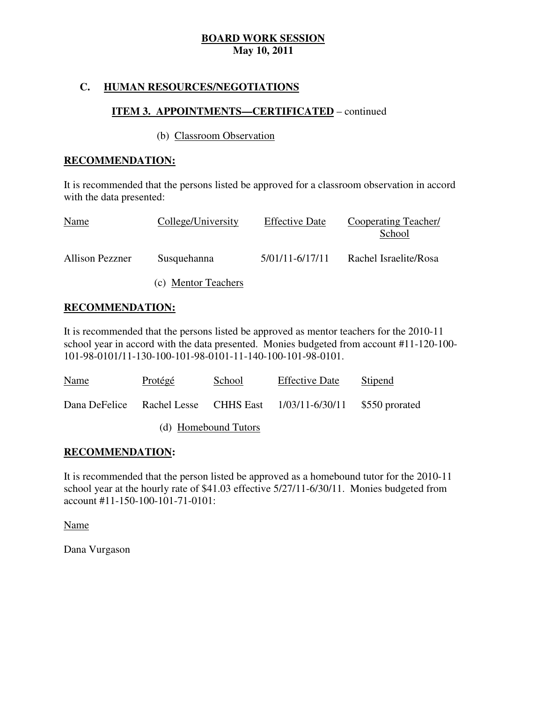### **C. HUMAN RESOURCES/NEGOTIATIONS**

### **ITEM 3. APPOINTMENTS—CERTIFICATED** – continued

### (b) Classroom Observation

### **RECOMMENDATION:**

 It is recommended that the persons listed be approved for a classroom observation in accord with the data presented:

| Name                   | College/University  | <b>Effective Date</b> | Cooperating Teacher/<br>School |
|------------------------|---------------------|-----------------------|--------------------------------|
| <b>Allison Pezzner</b> | Susquehanna         | 5/01/11-6/17/11       | Rachel Israelite/Rosa          |
|                        | (c) Mentor Teachers |                       |                                |

### **RECOMMENDATION:**

 It is recommended that the persons listed be approved as mentor teachers for the 2010-11 school year in accord with the data presented. Monies budgeted from account #11-120-100 101-98-0101/11-130-100-101-98-0101-11-140-100-101-98-0101.

| Name                 | Protégé | School | <b>Effective Date</b>                                               | Stipend |
|----------------------|---------|--------|---------------------------------------------------------------------|---------|
|                      |         |        | Dana DeFelice Rachel Lesse CHHS East 1/03/11-6/30/11 \$550 prorated |         |
| (d) Homebound Tutors |         |        |                                                                     |         |

### **RECOMMENDATION:**

 It is recommended that the person listed be approved as a homebound tutor for the 2010-11 school year at the hourly rate of \$41.03 effective 5/27/11-6/30/11. Monies budgeted from account #11-150-100-101-71-0101:

Name

Dana Vurgason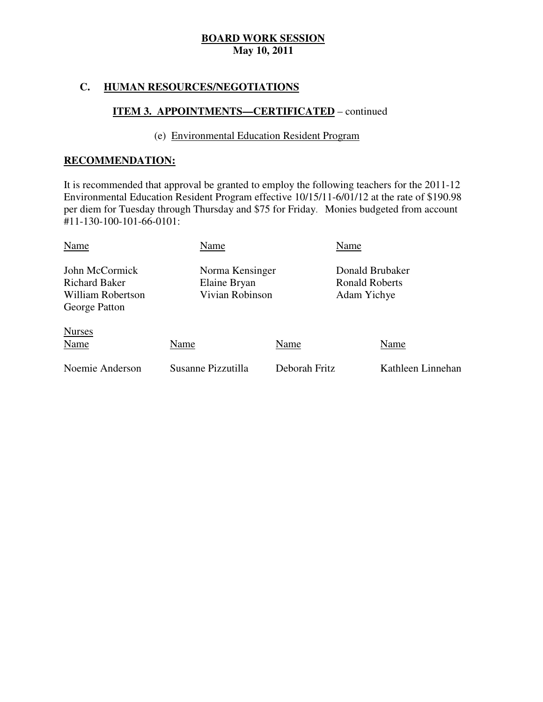### **C. HUMAN RESOURCES/NEGOTIATIONS**

### **ITEM 3. APPOINTMENTS—CERTIFICATED** – continued

### (e) Environmental Education Resident Program

### **RECOMMENDATION:**

 It is recommended that approval be granted to employ the following teachers for the 2011-12 Environmental Education Resident Program effective 10/15/11-6/01/12 at the rate of \$190.98 per diem for Tuesday through Thursday and \$75 for Friday. Monies budgeted from account #11-130-100-101-66-0101:

| Name                                                                         | Name                                               |               | Name                                                    |                   |
|------------------------------------------------------------------------------|----------------------------------------------------|---------------|---------------------------------------------------------|-------------------|
| John McCormick<br><b>Richard Baker</b><br>William Robertson<br>George Patton | Norma Kensinger<br>Elaine Bryan<br>Vivian Robinson |               | Donald Brubaker<br><b>Ronald Roberts</b><br>Adam Yichye |                   |
| <b>Nurses</b><br>Name                                                        | Name                                               | Name          |                                                         | Name              |
| Noemie Anderson                                                              | Susanne Pizzutilla                                 | Deborah Fritz |                                                         | Kathleen Linnehan |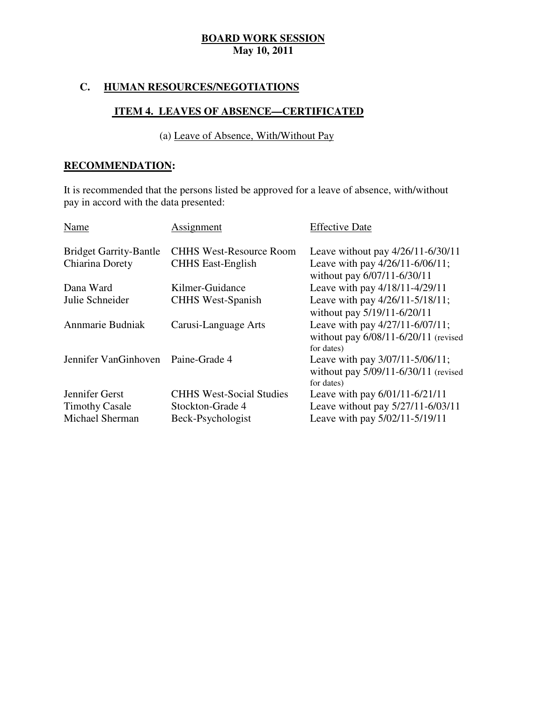### **C. HUMAN RESOURCES/NEGOTIATIONS**

### **ITEM 4. LEAVES OF ABSENCE—CERTIFICATED**

### (a) Leave of Absence, With/Without Pay

### **RECOMMENDATION:**

 It is recommended that the persons listed be approved for a leave of absence, with/without pay in accord with the data presented:

| Name                                                       | Assignment                                                               | <b>Effective Date</b>                                                                                 |
|------------------------------------------------------------|--------------------------------------------------------------------------|-------------------------------------------------------------------------------------------------------|
| <b>Bridget Garrity-Bantle</b>                              | <b>CHHS West-Resource Room</b>                                           | Leave without pay $4/26/11 - 6/30/11$                                                                 |
| Chiarina Dorety                                            | <b>CHHS East-English</b>                                                 | Leave with pay 4/26/11-6/06/11;<br>without pay 6/07/11-6/30/11                                        |
| Dana Ward                                                  | Kilmer-Guidance                                                          | Leave with pay 4/18/11-4/29/11                                                                        |
| Julie Schneider                                            | <b>CHHS West-Spanish</b>                                                 | Leave with pay 4/26/11-5/18/11;<br>without pay 5/19/11-6/20/11                                        |
| Annmarie Budniak                                           | Carusi-Language Arts                                                     | Leave with pay 4/27/11-6/07/11;<br>without pay $6/08/11 - 6/20/11$ (revised<br>for dates)             |
| Jennifer VanGinhoven                                       | Paine-Grade 4                                                            | Leave with pay 3/07/11-5/06/11;<br>without pay $5/09/11 - 6/30/11$ (revised<br>for dates)             |
| Jennifer Gerst<br><b>Timothy Casale</b><br>Michael Sherman | <b>CHHS West-Social Studies</b><br>Stockton-Grade 4<br>Beck-Psychologist | Leave with pay 6/01/11-6/21/11<br>Leave without pay 5/27/11-6/03/11<br>Leave with pay 5/02/11-5/19/11 |
|                                                            |                                                                          |                                                                                                       |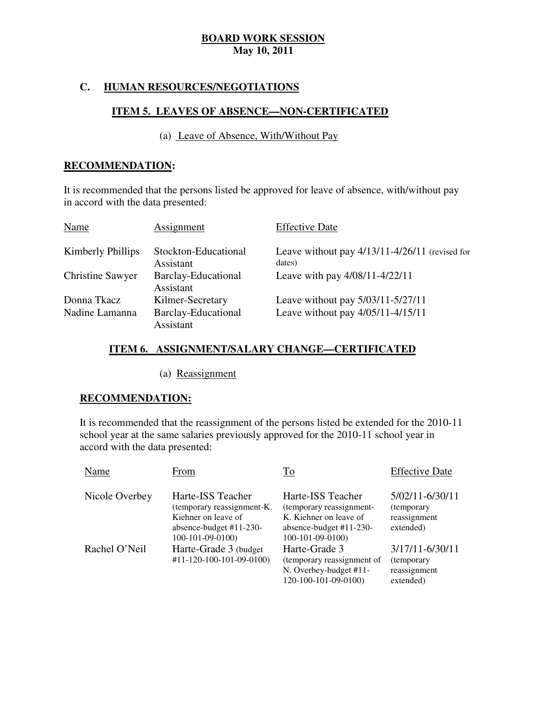### **C. HUMAN RESOURCES/NEGOTIATIONS**

### **ITEM 5. LEAVES OF ABSENCE—NON-CERTIFICATED**

### (a) Leave of Absence, With/Without Pay

### **RECOMMENDATION:**

 It is recommended that the persons listed be approved for leave of absence, with/without pay in accord with the data presented:

| Name                    | Assignment                              | <b>Effective Date</b>                                        |
|-------------------------|-----------------------------------------|--------------------------------------------------------------|
| Kimberly Phillips       | Stockton-Educational<br>Assistant       | Leave without pay $4/13/11 - 4/26/11$ (revised for<br>dates) |
| <b>Christine Sawyer</b> | <b>Barclay-Educational</b><br>Assistant | Leave with pay 4/08/11-4/22/11                               |
| Donna Tkacz             | Kilmer-Secretary                        | Leave without pay 5/03/11-5/27/11                            |
| Nadine Lamanna          | <b>Barclay-Educational</b><br>Assistant | Leave without pay 4/05/11-4/15/11                            |

### **ITEM 6. ASSIGNMENT/SALARY CHANGE—CERTIFICATED**

(a) Reassignment

### **RECOMMENDATION:**

 It is recommended that the reassignment of the persons listed be extended for the 2010-11 school year at the same salaries previously approved for the 2010-11 school year in accord with the data presented:

| Name           | From                                                                                                                     | To                                                                                                                        | <b>Effective Date</b>                                       |
|----------------|--------------------------------------------------------------------------------------------------------------------------|---------------------------------------------------------------------------------------------------------------------------|-------------------------------------------------------------|
| Nicole Overbey | Harte-ISS Teacher<br>(temporary reassignment-K.<br>Kiehner on leave of<br>absence-budget $#11-230-$<br>$100-101-09-0100$ | Harte-ISS Teacher<br>(temporary reassignment-<br>K. Kiehner on leave of<br>absence-budget $#11-230-$<br>$100-101-09-0100$ | 5/02/11-6/30/11<br>(temporary)<br>reassignment<br>extended) |
| Rachel O'Neil  | Harte-Grade 3 (budget)<br>$#11 - 120 - 100 - 101 - 09 - 0100$                                                            | Harte-Grade 3<br>(temporary reassignment of<br>N. Overbey-budget #11-<br>120-100-101-09-0100)                             | 3/17/11-6/30/11<br>(temporary<br>reassignment<br>extended)  |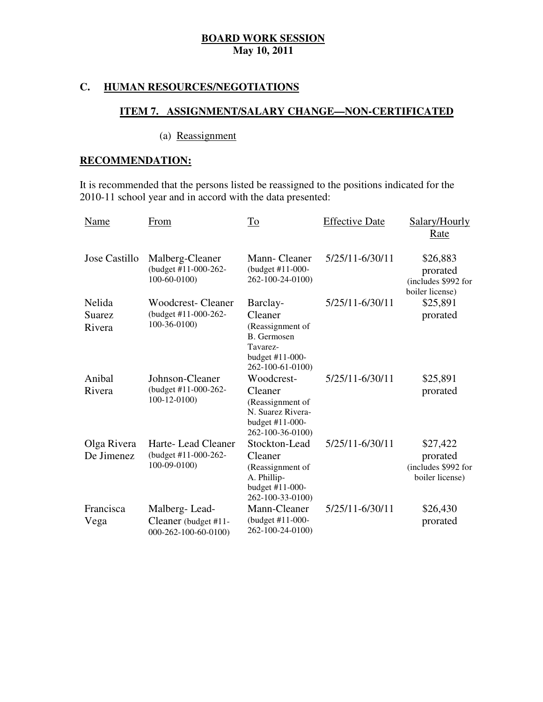### **C. HUMAN RESOURCES/NEGOTIATIONS**

### **ITEM 7. ASSIGNMENT/SALARY CHANGE—NON-CERTIFICATED**

### (a) Reassignment

### **RECOMMENDATION:**

 It is recommended that the persons listed be reassigned to the positions indicated for the 2010-11 school year and in accord with the data presented:

| Name                       | From                                                              | To                                                                                                        | <b>Effective Date</b> | Salary/Hourly<br><u>Rate</u>                                   |
|----------------------------|-------------------------------------------------------------------|-----------------------------------------------------------------------------------------------------------|-----------------------|----------------------------------------------------------------|
| Jose Castillo              | Malberg-Cleaner<br>(budget #11-000-262-<br>$100 - 60 - 0100$      | Mann-Cleaner<br>(budget #11-000-<br>262-100-24-0100)                                                      | 5/25/11-6/30/11       | \$26,883<br>prorated<br>(includes \$992 for<br>boiler license) |
| Nelida<br>Suarez<br>Rivera | <b>Woodcrest-Cleaner</b><br>(budget #11-000-262-<br>$100-36-0100$ | Barclay-<br>Cleaner<br>(Reassignment of<br>B. Germosen<br>Tavarez-<br>budget #11-000-<br>262-100-61-0100) | 5/25/11-6/30/11       | \$25,891<br>prorated                                           |
| Anibal<br>Rivera           | Johnson-Cleaner<br>(budget #11-000-262-<br>$100 - 12 - 0100$      | Woodcrest-<br>Cleaner<br>(Reassignment of<br>N. Suarez Rivera-<br>budget #11-000-<br>262-100-36-0100)     | 5/25/11-6/30/11       | \$25,891<br>prorated                                           |
| Olga Rivera<br>De Jimenez  | Harte-Lead Cleaner<br>(budget #11-000-262-<br>100-09-0100)        | Stockton-Lead<br>Cleaner<br>(Reassignment of<br>A. Phillip-<br>budget #11-000-<br>262-100-33-0100)        | 5/25/11-6/30/11       | \$27,422<br>prorated<br>(includes \$992 for<br>boiler license) |
| Francisca<br>Vega          | Malberg-Lead-<br>Cleaner (budget #11-<br>000-262-100-60-0100)     | Mann-Cleaner<br>(budget #11-000-<br>262-100-24-0100)                                                      | 5/25/11-6/30/11       | \$26,430<br>prorated                                           |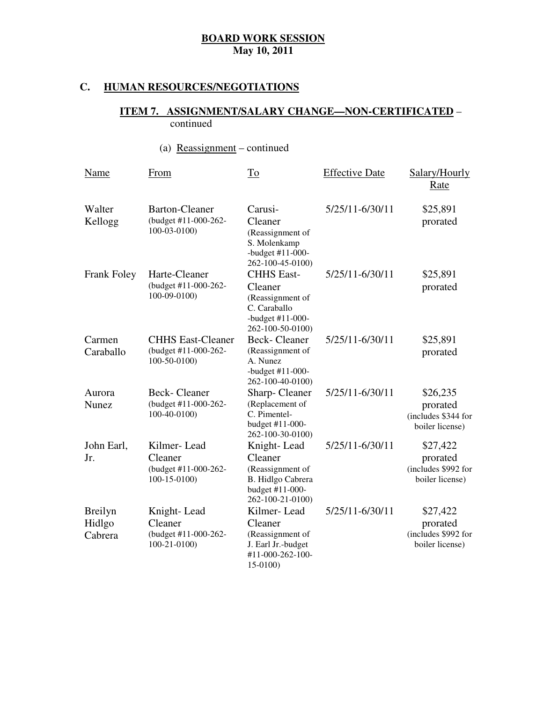### **C. HUMAN RESOURCES/NEGOTIATIONS**

### **ITEM 7. ASSIGNMENT/SALARY CHANGE—NON-CERTIFICATED** – continued

# (a) Reassignment – continued

| Name                                | From                                                               | To                                                                                                       | <b>Effective Date</b> | Salary/Hourly<br>Rate                                          |
|-------------------------------------|--------------------------------------------------------------------|----------------------------------------------------------------------------------------------------------|-----------------------|----------------------------------------------------------------|
| Walter<br>Kellogg                   | <b>Barton-Cleaner</b><br>(budget #11-000-262-<br>$100 - 03 - 0100$ | Carusi-<br>Cleaner<br>(Reassignment of<br>S. Molenkamp<br>-budget $#11-000-$<br>262-100-45-0100)         | 5/25/11-6/30/11       | \$25,891<br>prorated                                           |
| Frank Foley                         | Harte-Cleaner<br>(budget #11-000-262-<br>100-09-0100)              | <b>CHHS East-</b><br>Cleaner<br>(Reassignment of<br>C. Caraballo<br>-budget #11-000-<br>262-100-50-0100) | 5/25/11-6/30/11       | \$25,891<br>prorated                                           |
| Carmen<br>Caraballo                 | <b>CHHS East-Cleaner</b><br>(budget #11-000-262-<br>$100-50-0100$  | <b>Beck-Cleaner</b><br>(Reassignment of<br>A. Nunez<br>-budget $#11-000-$<br>262-100-40-0100)            | 5/25/11-6/30/11       | \$25,891<br>prorated                                           |
| Aurora<br><b>Nunez</b>              | <b>Beck-Cleaner</b><br>(budget #11-000-262-<br>100-40-0100)        | Sharp-Cleaner<br>(Replacement of<br>C. Pimentel-<br>budget #11-000-<br>262-100-30-0100)                  | 5/25/11-6/30/11       | \$26,235<br>prorated<br>(includes \$344 for<br>boiler license) |
| John Earl,<br>Jr.                   | Kilmer-Lead<br>Cleaner<br>(budget #11-000-262-<br>$100-15-0100$    | Knight-Lead<br>Cleaner<br>(Reassignment of<br>B. Hidlgo Cabrera<br>budget #11-000-<br>262-100-21-0100)   | 5/25/11-6/30/11       | \$27,422<br>prorated<br>(includes \$992 for<br>boiler license) |
| <b>Breilyn</b><br>Hidlgo<br>Cabrera | Knight-Lead<br>Cleaner<br>(budget #11-000-262-<br>$100-21-0100$    | Kilmer-Lead<br>Cleaner<br>(Reassignment of<br>J. Earl Jr.-budget<br>#11-000-262-100-<br>15-0100)         | 5/25/11-6/30/11       | \$27,422<br>prorated<br>(includes \$992 for<br>boiler license) |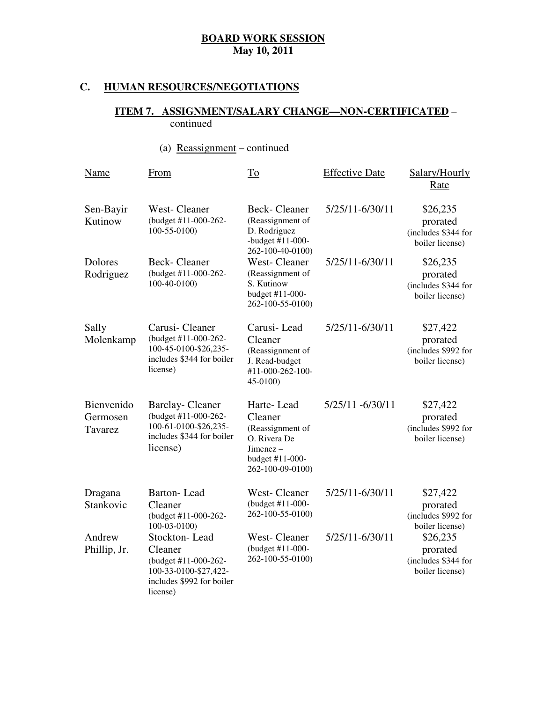# **C. HUMAN RESOURCES/NEGOTIATIONS**

### **ITEM 7. ASSIGNMENT/SALARY CHANGE—NON-CERTIFICATED** – continued

# (a) Reassignment – continued

| Name                              | <b>From</b>                                                                                                        | $\underline{\operatorname{To}}$                                                                                    | <b>Effective Date</b> | Salary/Hourly<br>Rate                                          |
|-----------------------------------|--------------------------------------------------------------------------------------------------------------------|--------------------------------------------------------------------------------------------------------------------|-----------------------|----------------------------------------------------------------|
| Sen-Bayir<br>Kutinow              | West-Cleaner<br>(budget #11-000-262-<br>$100 - 55 - 0100$                                                          | <b>Beck-Cleaner</b><br>(Reassignment of<br>D. Rodriguez<br>-budget #11-000-<br>262-100-40-0100)                    | 5/25/11-6/30/11       | \$26,235<br>prorated<br>(includes \$344 for<br>boiler license) |
| Dolores<br>Rodriguez              | <b>Beck-Cleaner</b><br>(budget #11-000-262-<br>100-40-0100)                                                        | <b>West-Cleaner</b><br>(Reassignment of<br>S. Kutinow<br>budget #11-000-<br>262-100-55-0100)                       | 5/25/11-6/30/11       | \$26,235<br>prorated<br>(includes \$344 for<br>boiler license) |
| Sally<br>Molenkamp                | Carusi-Cleaner<br>(budget #11-000-262-<br>100-45-0100-\$26,235-<br>includes \$344 for boiler<br>license)           | Carusi-Lead<br>Cleaner<br>(Reassignment of<br>J. Read-budget<br>#11-000-262-100-<br>45-0100)                       | 5/25/11-6/30/11       | \$27,422<br>prorated<br>(includes \$992 for<br>boiler license) |
| Bienvenido<br>Germosen<br>Tavarez | <b>Barclay-Cleaner</b><br>(budget #11-000-262-<br>100-61-0100-\$26,235-<br>includes \$344 for boiler<br>license)   | Harte-Lead<br>Cleaner<br>(Reassignment of<br>O. Rivera De<br>$J$ imenez $-$<br>budget #11-000-<br>262-100-09-0100) | 5/25/11 -6/30/11      | \$27,422<br>prorated<br>(includes \$992 for<br>boiler license) |
| Dragana<br>Stankovic              | <b>Barton-Lead</b><br>Cleaner<br>(budget #11-000-262-<br>100-03-0100)                                              | <b>West-Cleaner</b><br>(budget #11-000-<br>262-100-55-0100)                                                        | 5/25/11-6/30/11       | \$27,422<br>prorated<br>(includes \$992 for<br>boiler license) |
| Andrew<br>Phillip, Jr.            | Stockton-Lead<br>Cleaner<br>(budget #11-000-262-<br>100-33-0100-\$27,422-<br>includes \$992 for boiler<br>license) | <b>West-Cleaner</b><br>(budget #11-000-<br>262-100-55-0100)                                                        | 5/25/11-6/30/11       | \$26,235<br>prorated<br>(includes \$344 for<br>boiler license) |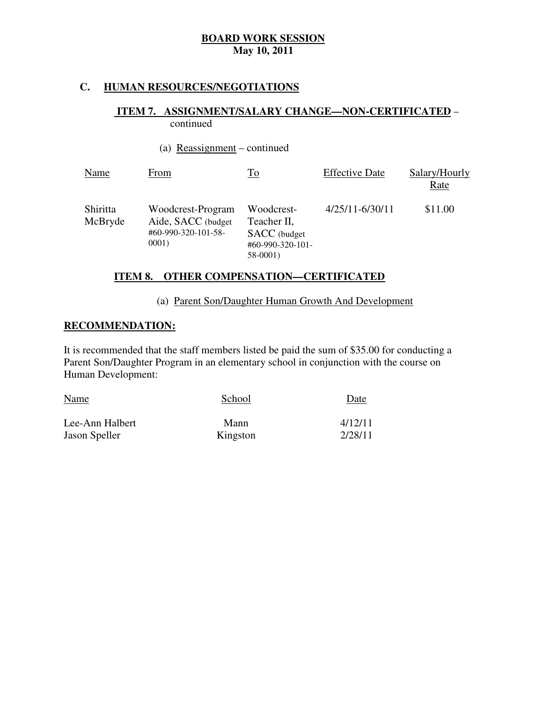### **C. HUMAN RESOURCES/NEGOTIATIONS**

### **ITEM 7. ASSIGNMENT/SALARY CHANGE—NON-CERTIFICATED** – continued

### (a) Reassignment – continued

| Name                | From                                                                     | <u>To</u>                                                                 | <b>Effective Date</b> | Salary/Hourly<br>Rate |
|---------------------|--------------------------------------------------------------------------|---------------------------------------------------------------------------|-----------------------|-----------------------|
| Shiritta<br>McBryde | Woodcrest-Program<br>Aide, SACC (budget)<br>#60-990-320-101-58-<br>0001) | Woodcrest-<br>Teacher II,<br>SACC (budget<br>#60-990-320-101-<br>58-0001) | $4/25/11 - 6/30/11$   | \$11.00               |

### **ITEM 8. OTHER COMPENSATION—CERTIFICATED**

### (a) Parent Son/Daughter Human Growth And Development

### **RECOMMENDATION:**

 It is recommended that the staff members listed be paid the sum of \$35.00 for conducting a Parent Son/Daughter Program in an elementary school in conjunction with the course on Human Development:

| Name            | School   | Date    |
|-----------------|----------|---------|
| Lee-Ann Halbert | Mann     | 4/12/11 |
| Jason Speller   | Kingston | 2/28/11 |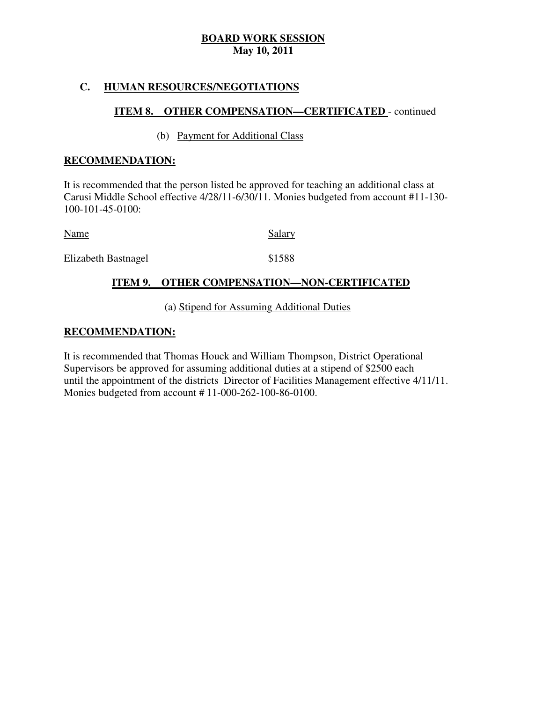### **C. HUMAN RESOURCES/NEGOTIATIONS**

### **ITEM 8. OTHER COMPENSATION—CERTIFICATED** - continued

### (b) Payment for Additional Class

### **RECOMMENDATION:**

 It is recommended that the person listed be approved for teaching an additional class at Carusi Middle School effective 4/28/11-6/30/11. Monies budgeted from account #11-130 100-101-45-0100:

Name Salary

Elizabeth Bastnagel **\$1588** 

### **ITEM 9. OTHER COMPENSATION—NON-CERTIFICATED**

### (a) Stipend for Assuming Additional Duties

### **RECOMMENDATION:**

 It is recommended that Thomas Houck and William Thompson, District Operational Supervisors be approved for assuming additional duties at a stipend of \$2500 each until the appointment of the districts Director of Facilities Management effective 4/11/11. Monies budgeted from account # 11-000-262-100-86-0100.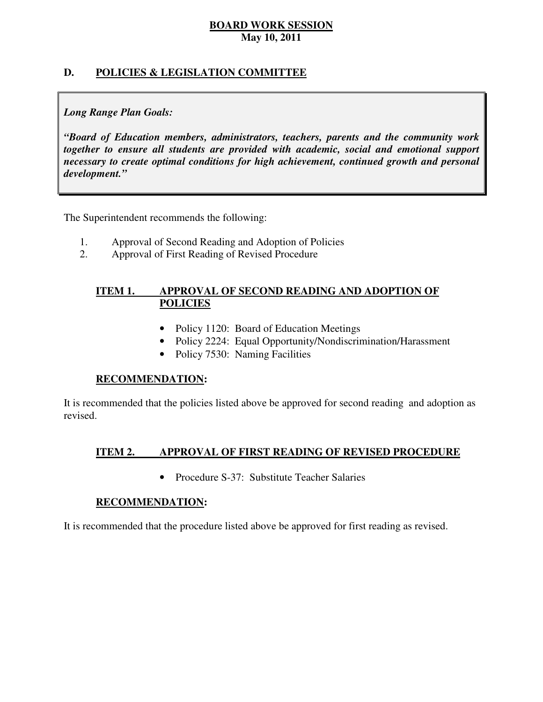### **D. POLICIES & LEGISLATION COMMITTEE**

### *Long Range Plan Goals:*

 *"Board of Education members, administrators, teachers, parents and the community work together to ensure all students are provided with academic, social and emotional support necessary to create optimal conditions for high achievement, continued growth and personal development."* 

The Superintendent recommends the following:

- 1. Approval of Second Reading and Adoption of Policies
- 2. Approval of First Reading of Revised Procedure

### **ITEM 1. APPROVAL OF SECOND READING AND ADOPTION OF POLICIES**

- Policy 1120: Board of Education Meetings
- Policy 2224: Equal Opportunity/Nondiscrimination/Harassment
- Policy 7530: Naming Facilities

### **RECOMMENDATION:**

 It is recommended that the policies listed above be approved for second reading and adoption as revised.

#### **ITEM 2. APPROVAL OF FIRST READING OF REVISED PROCEDURE**

• Procedure S-37: Substitute Teacher Salaries

### **RECOMMENDATION:**

It is recommended that the procedure listed above be approved for first reading as revised.